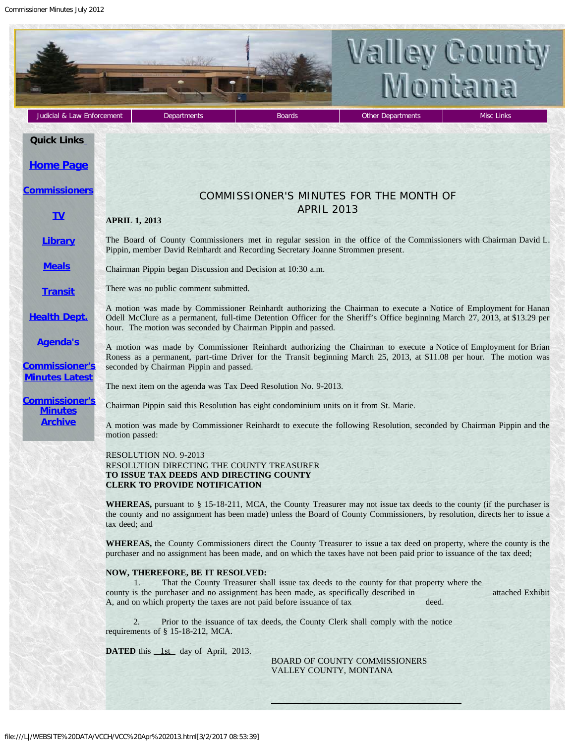Commissioner Minutes July 2012

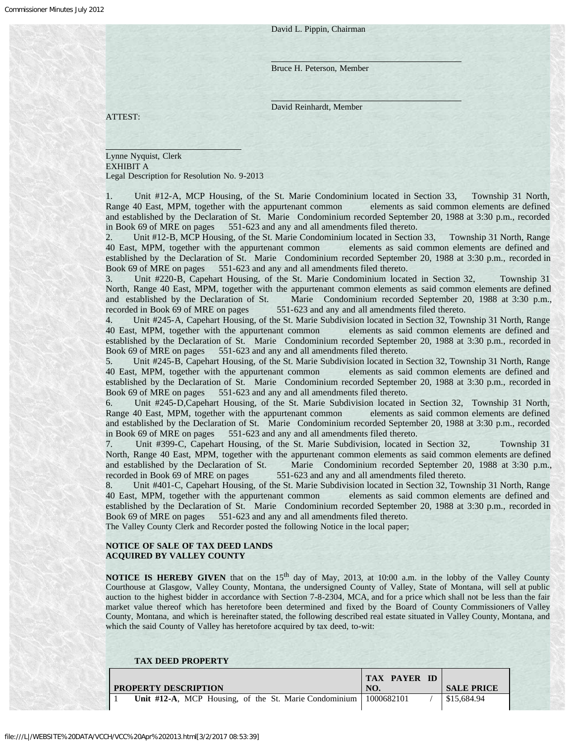David L. Pippin, Chairman

Bruce H. Peterson, Member

David Reinhardt, Member

ATTEST:

 $\overline{a}$ 

Lynne Nyquist, Clerk EXHIBIT A Legal Description for Resolution No. 9-2013

Unit #12-A, MCP Housing, of the St. Marie Condominium located in Section 33, Township 31 North, Range 40 East, MPM, together with the appurtenant common elements as said common elements are defined and established by the Declaration of St. Marie Condominium recorded September 20, 1988 at 3:30 p.m., recorded in Book 69 of MRE on pages 551-623 and any and all amendments filed thereto.

2. Unit #12-B, MCP Housing, of the St. Marie Condominium located in Section 33, Township 31 North, Range 40 East, MPM, together with the appurtenant common elements as said common elements are defined and established by the Declaration of St. Marie Condominium recorded September 20, 1988 at 3:30 p.m., recorded in Book 69 of MRE on pages 551-623 and any and all amendments filed thereto.

3. Unit #220-B, Capehart Housing, of the St. Marie Condominium located in Section 32, Township 31 North, Range 40 East, MPM, together with the appurtenant common elements as said common elements are defined and established by the Declaration of St. Marie Condominium recorded September 20, 1988 at 3:30 p.m., recorded in Book 69 of MRE on pages 551-623 and any and all amendments filed thereto.

4. Unit #245-A, Capehart Housing, of the St. Marie Subdivision located in Section 32, Township 31 North, Range 40 East, MPM, together with the appurtenant common elements as said common elements are defined and established by the Declaration of St. Marie Condominium recorded September 20, 1988 at 3:30 p.m., recorded in Book 69 of MRE on pages 551-623 and any and all amendments filed thereto.

5. Unit #245-B, Capehart Housing, of the St. Marie Subdivision located in Section 32, Township 31 North, Range 40 East, MPM, together with the appurtenant common elements as said common elements are defined and established by the Declaration of St. Marie Condominium recorded September 20, 1988 at 3:30 p.m., recorded in Book 69 of MRE on pages 551-623 and any and all amendments filed thereto.

6. Unit #245-D,Capehart Housing, of the St. Marie Subdivision located in Section 32, Township 31 North, Range 40 East, MPM, together with the appurtenant common elements as said common elements are defined and established by the Declaration of St. Marie Condominium recorded September 20, 1988 at 3:30 p.m., recorded in Book 69 of MRE on pages 551-623 and any and all amendments filed thereto.

7. Unit #399-C, Capehart Housing, of the St. Marie Subdivision, located in Section 32, Township 31 North, Range 40 East, MPM, together with the appurtenant common elements as said common elements are defined and established by the Declaration of St. Marie Condominium recorded September 20, 1988 at 3:30 p.m., recorded in Book 69 of MRE on pages 551-623 and any and all amendments filed thereto.

Unit #401-C, Capehart Housing, of the St. Marie Subdivision located in Section 32, Township 31 North, Range 40 East, MPM, together with the appurtenant common elements as said common elements are defined and established by the Declaration of St. Marie Condominium recorded September 20, 1988 at 3:30 p.m., recorded in Book 69 of MRE on pages 551-623 and any and all amendments filed thereto.

The Valley County Clerk and Recorder posted the following Notice in the local paper;

# **NOTICE OF SALE OF TAX DEED LANDS ACQUIRED BY VALLEY COUNTY**

**NOTICE IS HEREBY GIVEN** that on the 15<sup>th</sup> day of May, 2013, at 10:00 a.m. in the lobby of the Valley County Courthouse at Glasgow, Valley County, Montana, the undersigned County of Valley, State of Montana, will sell at public auction to the highest bidder in accordance with Section 7-8-2304, MCA, and for a price which shall not be less than the fair market value thereof which has heretofore been determined and fixed by the Board of County Commissioners of Valley County, Montana, and which is hereinafter stated, the following described real estate situated in Valley County, Montana, and which the said County of Valley has heretofore acquired by tax deed, to-wit:

| <b>TAX DEED PROPERTY</b>                                           |                            |                   |
|--------------------------------------------------------------------|----------------------------|-------------------|
| <b>PROPERTY DESCRIPTION</b>                                        | <b>TAX PAYER ID</b><br>NO. | <b>SALE PRICE</b> |
| Unit #12-A, MCP Housing, of the St. Marie Condominium   1000682101 |                            | \$15,684.94       |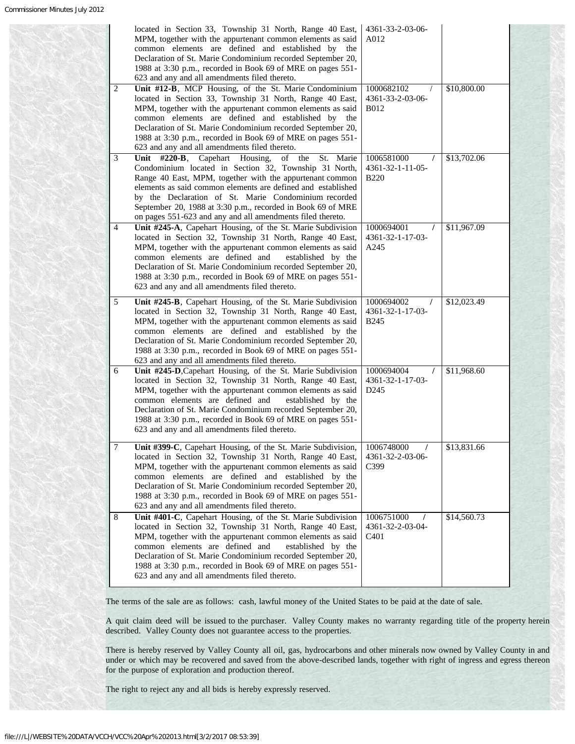|   | located in Section 33, Township 31 North, Range 40 East,<br>MPM, together with the appurtenant common elements as said<br>common elements are defined and established by the<br>Declaration of St. Marie Condominium recorded September 20,<br>1988 at 3:30 p.m., recorded in Book 69 of MRE on pages 551-<br>623 and any and all amendments filed thereto.                                                                   | 4361-33-2-03-06-<br>A012                                       |             |
|---|-------------------------------------------------------------------------------------------------------------------------------------------------------------------------------------------------------------------------------------------------------------------------------------------------------------------------------------------------------------------------------------------------------------------------------|----------------------------------------------------------------|-------------|
| 2 | Unit #12-B, MCP Housing, of the St. Marie Condominium<br>located in Section 33, Township 31 North, Range 40 East,<br>MPM, together with the appurtenant common elements as said<br>common elements are defined and established by the<br>Declaration of St. Marie Condominium recorded September 20,<br>1988 at 3:30 p.m., recorded in Book 69 of MRE on pages 551-<br>623 and any and all amendments filed thereto.          | 1000682102<br>4361-33-2-03-06-<br><b>B012</b>                  | \$10,800.00 |
| 3 | Unit #220-B, Capehart Housing,<br>of the St. Marie<br>Condominium located in Section 32, Township 31 North,<br>Range 40 East, MPM, together with the appurtenant common<br>elements as said common elements are defined and established<br>by the Declaration of St. Marie Condominium recorded<br>September 20, 1988 at 3:30 p.m., recorded in Book 69 of MRE<br>on pages 551-623 and any and all amendments filed thereto.  | 1006581000<br>4361-32-1-11-05-<br><b>B220</b>                  | \$13,702.06 |
| 4 | Unit #245-A, Capehart Housing, of the St. Marie Subdivision<br>located in Section 32, Township 31 North, Range 40 East,<br>MPM, together with the appurtenant common elements as said<br>common elements are defined and<br>established by the<br>Declaration of St. Marie Condominium recorded September 20,<br>1988 at 3:30 p.m., recorded in Book 69 of MRE on pages 551-<br>623 and any and all amendments filed thereto. | 1000694001<br>4361-32-1-17-03-<br>A245                         | \$11,967.09 |
| 5 | Unit #245-B, Capehart Housing, of the St. Marie Subdivision<br>located in Section 32, Township 31 North, Range 40 East,<br>MPM, together with the appurtenant common elements as said<br>common elements are defined and established by the<br>Declaration of St. Marie Condominium recorded September 20,<br>1988 at 3:30 p.m., recorded in Book 69 of MRE on pages 551-<br>623 and any and all amendments filed thereto.    | 1000694002<br>$\prime$<br>4361-32-1-17-03-<br>B <sub>245</sub> | \$12,023.49 |
| 6 | Unit #245-D, Capehart Housing, of the St. Marie Subdivision<br>located in Section 32, Township 31 North, Range 40 East,<br>MPM, together with the appurtenant common elements as said<br>common elements are defined and<br>established by the<br>Declaration of St. Marie Condominium recorded September 20,<br>1988 at 3:30 p.m., recorded in Book 69 of MRE on pages 551-<br>623 and any and all amendments filed thereto. | 1000694004<br>4361-32-1-17-03-<br>D <sub>245</sub>             | \$11,968.60 |
| 7 | Unit #399-C, Capehart Housing, of the St. Marie Subdivision,<br>located in Section 32, Township 31 North, Range 40 East,<br>MPM, together with the appurtenant common elements as said<br>common elements are defined and established by the<br>Declaration of St. Marie Condominium recorded September 20,<br>1988 at 3:30 p.m., recorded in Book 69 of MRE on pages 551-<br>623 and any and all amendments filed thereto.   | 1006748000<br>4361-32-2-03-06-<br>C399                         | \$13,831.66 |
| 8 | Unit #401-C, Capehart Housing, of the St. Marie Subdivision<br>located in Section 32, Township 31 North, Range 40 East,<br>MPM, together with the appurtenant common elements as said<br>common elements are defined and<br>established by the<br>Declaration of St. Marie Condominium recorded September 20,<br>1988 at 3:30 p.m., recorded in Book 69 of MRE on pages 551-<br>623 and any and all amendments filed thereto. | 1006751000<br>4361-32-2-03-04-<br>C <sub>401</sub>             | \$14,560.73 |

A quit claim deed will be issued to the purchaser. Valley County makes no warranty regarding title of the property herein described. Valley County does not guarantee access to the properties.

There is hereby reserved by Valley County all oil, gas, hydrocarbons and other minerals now owned by Valley County in and under or which may be recovered and saved from the above-described lands, together with right of ingress and egress thereon for the purpose of exploration and production thereof.

The right to reject any and all bids is hereby expressly reserved.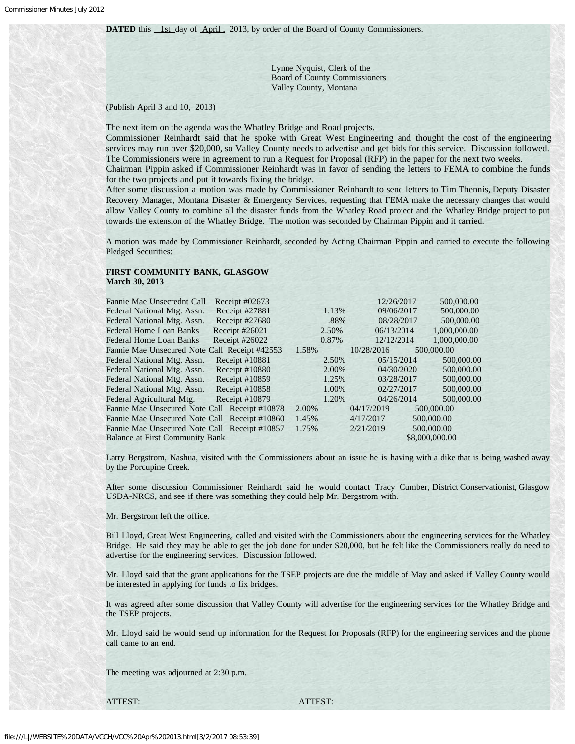Lynne Nyquist, Clerk of the Board of County Commissioners Valley County, Montana

# (Publish April 3 and 10, 2013)

The next item on the agenda was the Whatley Bridge and Road projects.

Commissioner Reinhardt said that he spoke with Great West Engineering and thought the cost of the engineering services may run over \$20,000, so Valley County needs to advertise and get bids for this service. Discussion followed. The Commissioners were in agreement to run a Request for Proposal (RFP) in the paper for the next two weeks. Chairman Pippin asked if Commissioner Reinhardt was in favor of sending the letters to FEMA to combine the funds for the two projects and put it towards fixing the bridge.

After some discussion a motion was made by Commissioner Reinhardt to send letters to Tim Thennis, Deputy Disaster Recovery Manager, Montana Disaster & Emergency Services, requesting that FEMA make the necessary changes that would allow Valley County to combine all the disaster funds from the Whatley Road project and the Whatley Bridge project to put towards the extension of the Whatley Bridge. The motion was seconded by Chairman Pippin and it carried.

A motion was made by Commissioner Reinhardt, seconded by Acting Chairman Pippin and carried to execute the following Pledged Securities:

### **FIRST COMMUNITY BANK, GLASGOW March 30, 2013**

| Fannie Mae Unsecrednt Call                    | Receipt $\#02673$ |       | 12/26/2017 | 500,000.00     |
|-----------------------------------------------|-------------------|-------|------------|----------------|
| Federal National Mtg. Assn.                   | Receipt #27881    | 1.13% | 09/06/2017 | 500,000.00     |
|                                               |                   |       |            |                |
| Federal National Mtg. Assn.                   | Receipt #27680    | .88%  | 08/28/2017 | 500,000.00     |
| <b>Federal Home Loan Banks</b>                | Receipt #26021    | 2.50% | 06/13/2014 | 1.000.000.00   |
| <b>Federal Home Loan Banks</b>                | Receipt #26022    | 0.87% | 12/12/2014 | 1.000.000.00   |
| Fannie Mae Unsecured Note Call Receipt #42553 |                   | 1.58% | 10/28/2016 | 500,000.00     |
| Federal National Mtg. Assn.                   | Receipt #10881    | 2.50% | 05/15/2014 | 500,000.00     |
| Federal National Mtg. Assn.                   | Receipt #10880    | 2.00% | 04/30/2020 | 500,000.00     |
| Federal National Mtg. Assn.                   | Receipt #10859    | 1.25% | 03/28/2017 | 500,000.00     |
| Federal National Mtg. Assn.                   | Receipt $\#10858$ | 1.00% | 02/27/2017 | 500,000.00     |
| Federal Agricultural Mtg.                     | Receipt $\#10879$ | 1.20% | 04/26/2014 | 500,000.00     |
| Fannie Mae Unsecured Note Call Receipt #10878 |                   | 2.00% | 04/17/2019 | 500,000.00     |
| Fannie Mae Unsecured Note Call Receipt #10860 |                   | 1.45% | 4/17/2017  | 500,000.00     |
| Fannie Mae Unsecured Note Call Receipt #10857 |                   | 1.75% | 2/21/2019  | 500,000.00     |
| <b>Balance at First Community Bank</b>        |                   |       |            | \$8,000,000.00 |

Larry Bergstrom, Nashua, visited with the Commissioners about an issue he is having with a dike that is being washed away by the Porcupine Creek.

After some discussion Commissioner Reinhardt said he would contact Tracy Cumber, District Conservationist, Glasgow USDA-NRCS, and see if there was something they could help Mr. Bergstrom with.

Mr. Bergstrom left the office.

Bill Lloyd, Great West Engineering, called and visited with the Commissioners about the engineering services for the Whatley Bridge. He said they may be able to get the job done for under \$20,000, but he felt like the Commissioners really do need to advertise for the engineering services. Discussion followed.

Mr. Lloyd said that the grant applications for the TSEP projects are due the middle of May and asked if Valley County would be interested in applying for funds to fix bridges.

It was agreed after some discussion that Valley County will advertise for the engineering services for the Whatley Bridge and the TSEP projects.

Mr. Lloyd said he would send up information for the Request for Proposals (RFP) for the engineering services and the phone call came to an end.

The meeting was adjourned at 2:30 p.m.

ATTEST: ATTEST: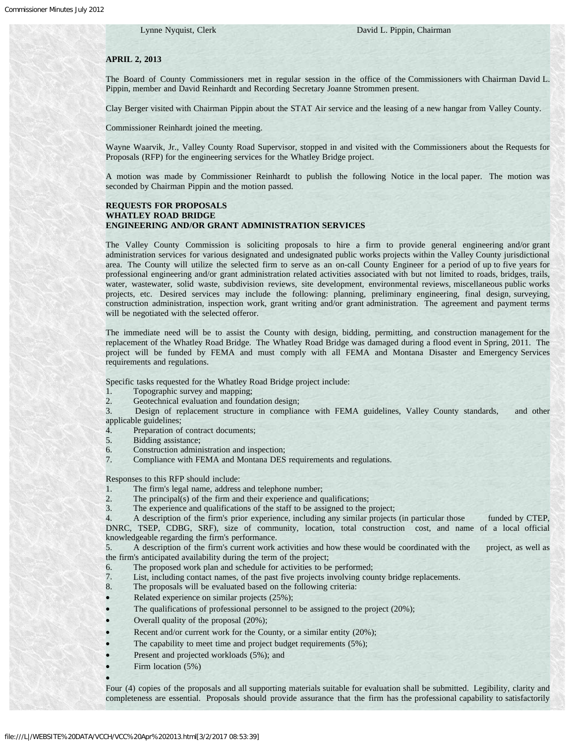### **APRIL 2, 2013**

The Board of County Commissioners met in regular session in the office of the Commissioners with Chairman David L. Pippin, member and David Reinhardt and Recording Secretary Joanne Strommen present.

Clay Berger visited with Chairman Pippin about the STAT Air service and the leasing of a new hangar from Valley County.

Commissioner Reinhardt joined the meeting.

Wayne Waarvik, Jr., Valley County Road Supervisor, stopped in and visited with the Commissioners about the Requests for Proposals (RFP) for the engineering services for the Whatley Bridge project.

A motion was made by Commissioner Reinhardt to publish the following Notice in the local paper. The motion was seconded by Chairman Pippin and the motion passed.

# **REQUESTS FOR PROPOSALS WHATLEY ROAD BRIDGE ENGINEERING AND/OR GRANT ADMINISTRATION SERVICES**

The Valley County Commission is soliciting proposals to hire a firm to provide general engineering and/or grant administration services for various designated and undesignated public works projects within the Valley County jurisdictional area. The County will utilize the selected firm to serve as an on-call County Engineer for a period of up to five years for professional engineering and/or grant administration related activities associated with but not limited to roads, bridges, trails, water, wastewater, solid waste, subdivision reviews, site development, environmental reviews, miscellaneous public works projects, etc. Desired services may include the following: planning, preliminary engineering, final design, surveying, construction administration, inspection work, grant writing and/or grant administration. The agreement and payment terms will be negotiated with the selected offeror.

The immediate need will be to assist the County with design, bidding, permitting, and construction management for the replacement of the Whatley Road Bridge. The Whatley Road Bridge was damaged during a flood event in Spring, 2011. The project will be funded by FEMA and must comply with all FEMA and Montana Disaster and Emergency Services requirements and regulations.

Specific tasks requested for the Whatley Road Bridge project include:

1. Topographic survey and mapping;

2. Geotechnical evaluation and foundation design;

3. Design of replacement structure in compliance with FEMA guidelines, Valley County standards, and other applicable guidelines;

4. Preparation of contract documents;

5. Bidding assistance;

- 6. Construction administration and inspection;
- 7. Compliance with FEMA and Montana DES requirements and regulations.

Responses to this RFP should include:

- 1. The firm's legal name, address and telephone number;
- 2. The principal(s) of the firm and their experience and qualifications;
- 3. The experience and qualifications of the staff to be assigned to the project;

4. A description of the firm's prior experience, including any similar projects (in particular those funded by CTEP, DNRC, TSEP, CDBG, SRF), size of community, location, total construction cost, and name of a local official knowledgeable regarding the firm's performance.

5. A description of the firm's current work activities and how these would be coordinated with the project, as well as the firm's anticipated availability during the term of the project;

- 6. The proposed work plan and schedule for activities to be performed;
- 7. List, including contact names, of the past five projects involving county bridge replacements.

8. The proposals will be evaluated based on the following criteria:

- Related experience on similar projects (25%);
- The qualifications of professional personnel to be assigned to the project  $(20\%)$ ;
- Overall quality of the proposal (20%);
- Recent and/or current work for the County, or a similar entity (20%);
- The capability to meet time and project budget requirements (5%);
- Present and projected workloads (5%); and
- Firm location (5%)

Four (4) copies of the proposals and all supporting materials suitable for evaluation shall be submitted. Legibility, clarity and completeness are essential. Proposals should provide assurance that the firm has the professional capability to satisfactorily

·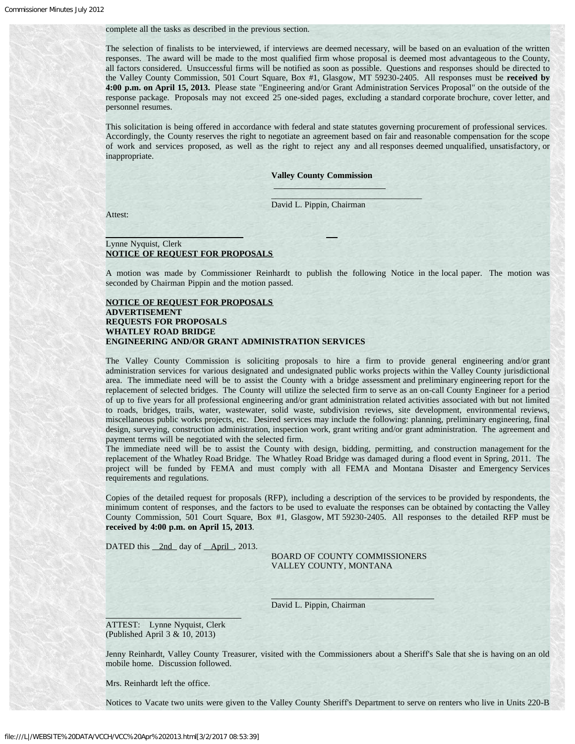#### complete all the tasks as described in the previous section.

The selection of finalists to be interviewed, if interviews are deemed necessary, will be based on an evaluation of the written responses. The award will be made to the most qualified firm whose proposal is deemed most advantageous to the County, all factors considered. Unsuccessful firms will be notified as soon as possible. Questions and responses should be directed to the Valley County Commission, 501 Court Square, Box #1, Glasgow, MT 59230-2405. All responses must be **received by 4:00 p.m. on April 15, 2013.** Please state "Engineering and/or Grant Administration Services Proposal" on the outside of the response package. Proposals may not exceed 25 one-sided pages, excluding a standard corporate brochure, cover letter, and personnel resumes.

This solicitation is being offered in accordance with federal and state statutes governing procurement of professional services. Accordingly, the County reserves the right to negotiate an agreement based on fair and reasonable compensation for the scope of work and services proposed, as well as the right to reject any and all responses deemed unqualified, unsatisfactory, or inappropriate.

**Valley County Commission**

David L. Pippin, Chairman

 $\overline{a}$  $\bar{p}$  , is the state of  $\bar{p}$  , i.e., i.e., i.e., i.e., i.e., i.e., i.e., i.e., i.e., i.e., i.e., i.e., i.e., i.e., i.e., i.e., i.e., i.e., i.e., i.e., i.e., i.e., i.e., i.e., i.e., i.e., i.e., i.e., i.e., i.e., i.e.,

Attest:

### $\overline{a}$ Lynne Nyquist, Clerk **NOTICE OF REQUEST FOR PROPOSALS**

A motion was made by Commissioner Reinhardt to publish the following Notice in the local paper. The motion was seconded by Chairman Pippin and the motion passed.

# **NOTICE OF REQUEST FOR PROPOSALS ADVERTISEMENT REQUESTS FOR PROPOSALS WHATLEY ROAD BRIDGE ENGINEERING AND/OR GRANT ADMINISTRATION SERVICES**

The Valley County Commission is soliciting proposals to hire a firm to provide general engineering and/or grant administration services for various designated and undesignated public works projects within the Valley County jurisdictional area. The immediate need will be to assist the County with a bridge assessment and preliminary engineering report for the replacement of selected bridges. The County will utilize the selected firm to serve as an on-call County Engineer for a period of up to five years for all professional engineering and/or grant administration related activities associated with but not limited to roads, bridges, trails, water, wastewater, solid waste, subdivision reviews, site development, environmental reviews, miscellaneous public works projects, etc. Desired services may include the following: planning, preliminary engineering, final design, surveying, construction administration, inspection work, grant writing and/or grant administration. The agreement and payment terms will be negotiated with the selected firm.

The immediate need will be to assist the County with design, bidding, permitting, and construction management for the replacement of the Whatley Road Bridge. The Whatley Road Bridge was damaged during a flood event in Spring, 2011. The project will be funded by FEMA and must comply with all FEMA and Montana Disaster and Emergency Services requirements and regulations.

Copies of the detailed request for proposals (RFP), including a description of the services to be provided by respondents, the minimum content of responses, and the factors to be used to evaluate the responses can be obtained by contacting the Valley County Commission, 501 Court Square, Box #1, Glasgow, MT 59230-2405. All responses to the detailed RFP must be **received by 4:00 p.m. on April 15, 2013**.

DATED this 2nd day of April, 2013.

 BOARD OF COUNTY COMMISSIONERS VALLEY COUNTY, MONTANA

David L. Pippin, Chairman

ATTEST: Lynne Nyquist, Clerk (Published April 3 & 10, 2013)

Jenny Reinhardt, Valley County Treasurer, visited with the Commissioners about a Sheriff's Sale that she is having on an old mobile home. Discussion followed.

Mrs. Reinhardt left the office.

Notices to Vacate two units were given to the Valley County Sheriff's Department to serve on renters who live in Units 220-B

 $\overline{\phantom{a}}$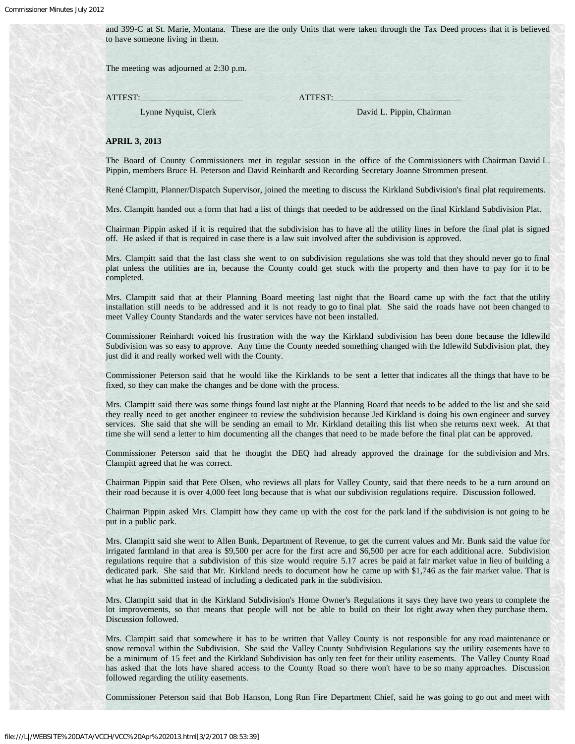and 399-C at St. Marie, Montana. These are the only Units that were taken through the Tax Deed process that it is believed to have someone living in them.

The meeting was adjourned at 2:30 p.m.

ATTEST: ATTEST:

Lynne Nyquist, Clerk David L. Pippin, Chairman

#### **APRIL 3, 2013**

The Board of County Commissioners met in regular session in the office of the Commissioners with Chairman David L. Pippin, members Bruce H. Peterson and David Reinhardt and Recording Secretary Joanne Strommen present.

René Clampitt, Planner/Dispatch Supervisor, joined the meeting to discuss the Kirkland Subdivision's final plat requirements.

Mrs. Clampitt handed out a form that had a list of things that needed to be addressed on the final Kirkland Subdivision Plat.

Chairman Pippin asked if it is required that the subdivision has to have all the utility lines in before the final plat is signed off. He asked if that is required in case there is a law suit involved after the subdivision is approved.

Mrs. Clampitt said that the last class she went to on subdivision regulations she was told that they should never go to final plat unless the utilities are in, because the County could get stuck with the property and then have to pay for it to be completed.

Mrs. Clampitt said that at their Planning Board meeting last night that the Board came up with the fact that the utility installation still needs to be addressed and it is not ready to go to final plat. She said the roads have not been changed to meet Valley County Standards and the water services have not been installed.

Commissioner Reinhardt voiced his frustration with the way the Kirkland subdivision has been done because the Idlewild Subdivision was so easy to approve. Any time the County needed something changed with the Idlewild Subdivision plat, they just did it and really worked well with the County.

Commissioner Peterson said that he would like the Kirklands to be sent a letter that indicates all the things that have to be fixed, so they can make the changes and be done with the process.

Mrs. Clampitt said there was some things found last night at the Planning Board that needs to be added to the list and she said they really need to get another engineer to review the subdivision because Jed Kirkland is doing his own engineer and survey services. She said that she will be sending an email to Mr. Kirkland detailing this list when she returns next week. At that time she will send a letter to him documenting all the changes that need to be made before the final plat can be approved.

Commissioner Peterson said that he thought the DEQ had already approved the drainage for the subdivision and Mrs. Clampitt agreed that he was correct.

Chairman Pippin said that Pete Olsen, who reviews all plats for Valley County, said that there needs to be a turn around on their road because it is over 4,000 feet long because that is what our subdivision regulations require. Discussion followed.

Chairman Pippin asked Mrs. Clampitt how they came up with the cost for the park land if the subdivision is not going to be put in a public park.

Mrs. Clampitt said she went to Allen Bunk, Department of Revenue, to get the current values and Mr. Bunk said the value for irrigated farmland in that area is \$9,500 per acre for the first acre and \$6,500 per acre for each additional acre. Subdivision regulations require that a subdivision of this size would require 5.17 acres be paid at fair market value in lieu of building a dedicated park. She said that Mr. Kirkland needs to document how he came up with \$1,746 as the fair market value. That is what he has submitted instead of including a dedicated park in the subdivision.

Mrs. Clampitt said that in the Kirkland Subdivision's Home Owner's Regulations it says they have two years to complete the lot improvements, so that means that people will not be able to build on their lot right away when they purchase them. Discussion followed.

Mrs. Clampitt said that somewhere it has to be written that Valley County is not responsible for any road maintenance or snow removal within the Subdivision. She said the Valley County Subdivision Regulations say the utility easements have to be a minimum of 15 feet and the Kirkland Subdivision has only ten feet for their utility easements. The Valley County Road has asked that the lots have shared access to the County Road so there won't have to be so many approaches. Discussion followed regarding the utility easements.

Commissioner Peterson said that Bob Hanson, Long Run Fire Department Chief, said he was going to go out and meet with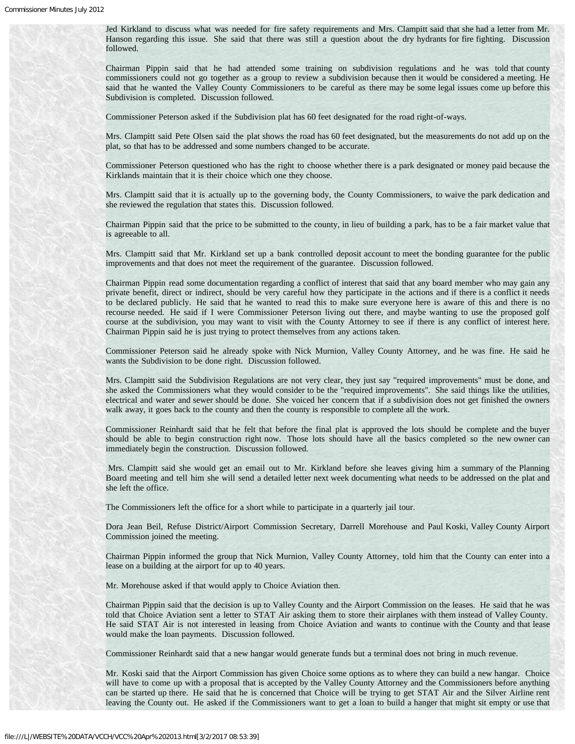Jed Kirkland to discuss what was needed for fire safety requirements and Mrs. Clampitt said that she had a letter from Mr. Hanson regarding this issue. She said that there was still a question about the dry hydrants for fire fighting. Discussion followed.

Chairman Pippin said that he had attended some training on subdivision regulations and he was told that county commissioners could not go together as a group to review a subdivision because then it would be considered a meeting. He said that he wanted the Valley County Commissioners to be careful as there may be some legal issues come up before this Subdivision is completed. Discussion followed.

Commissioner Peterson asked if the Subdivision plat has 60 feet designated for the road right-of-ways.

Mrs. Clampitt said Pete Olsen said the plat shows the road has 60 feet designated, but the measurements do not add up on the plat, so that has to be addressed and some numbers changed to be accurate.

Commissioner Peterson questioned who has the right to choose whether there is a park designated or money paid because the Kirklands maintain that it is their choice which one they choose.

Mrs. Clampitt said that it is actually up to the governing body, the County Commissioners, to waive the park dedication and she reviewed the regulation that states this. Discussion followed.

Chairman Pippin said that the price to be submitted to the county, in lieu of building a park, has to be a fair market value that is agreeable to all.

Mrs. Clampitt said that Mr. Kirkland set up a bank controlled deposit account to meet the bonding guarantee for the public improvements and that does not meet the requirement of the guarantee. Discussion followed.

Chairman Pippin read some documentation regarding a conflict of interest that said that any board member who may gain any private benefit, direct or indirect, should be very careful how they participate in the actions and if there is a conflict it needs to be declared publicly. He said that he wanted to read this to make sure everyone here is aware of this and there is no recourse needed. He said if I were Commissioner Peterson living out there, and maybe wanting to use the proposed golf course at the subdivision, you may want to visit with the County Attorney to see if there is any conflict of interest here. Chairman Pippin said he is just trying to protect themselves from any actions taken.

Commissioner Peterson said he already spoke with Nick Murnion, Valley County Attorney, and he was fine. He said he wants the Subdivision to be done right. Discussion followed.

Mrs. Clampitt said the Subdivision Regulations are not very clear, they just say "required improvements" must be done, and she asked the Commissioners what they would consider to be the "required improvements". She said things like the utilities, electrical and water and sewer should be done. She voiced her concern that if a subdivision does not get finished the owners walk away, it goes back to the county and then the county is responsible to complete all the work.

Commissioner Reinhardt said that he felt that before the final plat is approved the lots should be complete and the buyer should be able to begin construction right now. Those lots should have all the basics completed so the new owner can immediately begin the construction. Discussion followed.

Mrs. Clampitt said she would get an email out to Mr. Kirkland before she leaves giving him a summary of the Planning Board meeting and tell him she will send a detailed letter next week documenting what needs to be addressed on the plat and she left the office.

The Commissioners left the office for a short while to participate in a quarterly jail tour.

Dora Jean Beil, Refuse District/Airport Commission Secretary, Darrell Morehouse and Paul Koski, Valley County Airport Commission joined the meeting.

Chairman Pippin informed the group that Nick Murnion, Valley County Attorney, told him that the County can enter into a lease on a building at the airport for up to 40 years.

Mr. Morehouse asked if that would apply to Choice Aviation then.

Chairman Pippin said that the decision is up to Valley County and the Airport Commission on the leases. He said that he was told that Choice Aviation sent a letter to STAT Air asking them to store their airplanes with them instead of Valley County. He said STAT Air is not interested in leasing from Choice Aviation and wants to continue with the County and that lease would make the loan payments. Discussion followed.

Commissioner Reinhardt said that a new hangar would generate funds but a terminal does not bring in much revenue.

Mr. Koski said that the Airport Commission has given Choice some options as to where they can build a new hangar. Choice will have to come up with a proposal that is accepted by the Valley County Attorney and the Commissioners before anything can be started up there. He said that he is concerned that Choice will be trying to get STAT Air and the Silver Airline rent leaving the County out. He asked if the Commissioners want to get a loan to build a hanger that might sit empty or use that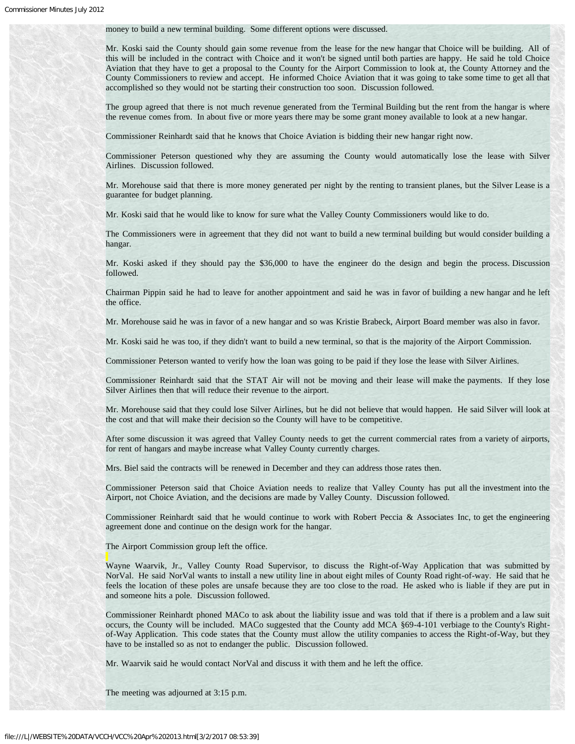money to build a new terminal building. Some different options were discussed.

Mr. Koski said the County should gain some revenue from the lease for the new hangar that Choice will be building. All of this will be included in the contract with Choice and it won't be signed until both parties are happy. He said he told Choice Aviation that they have to get a proposal to the County for the Airport Commission to look at, the County Attorney and the County Commissioners to review and accept. He informed Choice Aviation that it was going to take some time to get all that accomplished so they would not be starting their construction too soon. Discussion followed.

The group agreed that there is not much revenue generated from the Terminal Building but the rent from the hangar is where the revenue comes from. In about five or more years there may be some grant money available to look at a new hangar.

Commissioner Reinhardt said that he knows that Choice Aviation is bidding their new hangar right now.

Commissioner Peterson questioned why they are assuming the County would automatically lose the lease with Silver Airlines. Discussion followed.

Mr. Morehouse said that there is more money generated per night by the renting to transient planes, but the Silver Lease is a guarantee for budget planning.

Mr. Koski said that he would like to know for sure what the Valley County Commissioners would like to do.

The Commissioners were in agreement that they did not want to build a new terminal building but would consider building a hangar.

Mr. Koski asked if they should pay the \$36,000 to have the engineer do the design and begin the process. Discussion followed.

Chairman Pippin said he had to leave for another appointment and said he was in favor of building a new hangar and he left the office.

Mr. Morehouse said he was in favor of a new hangar and so was Kristie Brabeck, Airport Board member was also in favor.

Mr. Koski said he was too, if they didn't want to build a new terminal, so that is the majority of the Airport Commission.

Commissioner Peterson wanted to verify how the loan was going to be paid if they lose the lease with Silver Airlines.

Commissioner Reinhardt said that the STAT Air will not be moving and their lease will make the payments. If they lose Silver Airlines then that will reduce their revenue to the airport.

Mr. Morehouse said that they could lose Silver Airlines, but he did not believe that would happen. He said Silver will look at the cost and that will make their decision so the County will have to be competitive.

After some discussion it was agreed that Valley County needs to get the current commercial rates from a variety of airports, for rent of hangars and maybe increase what Valley County currently charges.

Mrs. Biel said the contracts will be renewed in December and they can address those rates then.

Commissioner Peterson said that Choice Aviation needs to realize that Valley County has put all the investment into the Airport, not Choice Aviation, and the decisions are made by Valley County. Discussion followed.

Commissioner Reinhardt said that he would continue to work with Robert Peccia & Associates Inc, to get the engineering agreement done and continue on the design work for the hangar.

The Airport Commission group left the office.

Wayne Waarvik, Jr., Valley County Road Supervisor, to discuss the Right-of-Way Application that was submitted by NorVal. He said NorVal wants to install a new utility line in about eight miles of County Road right-of-way. He said that he feels the location of these poles are unsafe because they are too close to the road. He asked who is liable if they are put in and someone hits a pole. Discussion followed.

Commissioner Reinhardt phoned MACo to ask about the liability issue and was told that if there is a problem and a law suit occurs, the County will be included. MACo suggested that the County add MCA §69-4-101 verbiage to the County's Rightof-Way Application. This code states that the County must allow the utility companies to access the Right-of-Way, but they have to be installed so as not to endanger the public. Discussion followed.

Mr. Waarvik said he would contact NorVal and discuss it with them and he left the office.

The meeting was adjourned at 3:15 p.m.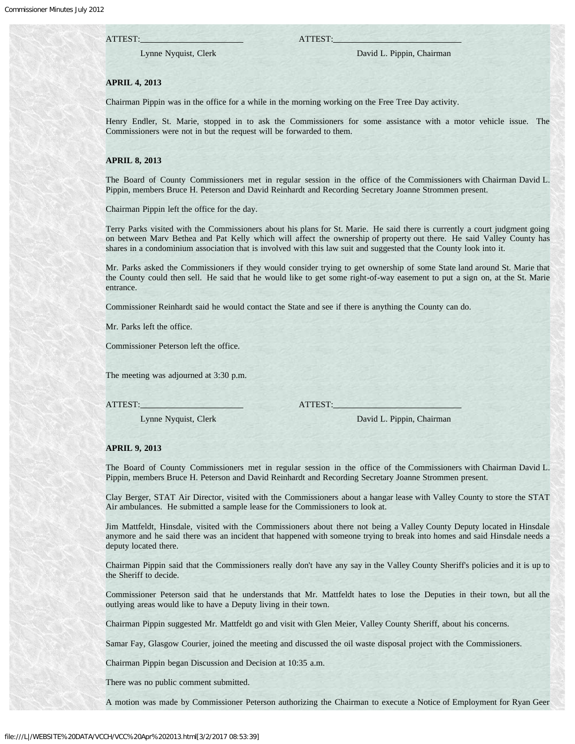# ATTEST: ATTEST:

Lynne Nyquist, Clerk David L. Pippin, Chairman

### **APRIL 4, 2013**

Chairman Pippin was in the office for a while in the morning working on the Free Tree Day activity.

Henry Endler, St. Marie, stopped in to ask the Commissioners for some assistance with a motor vehicle issue. The Commissioners were not in but the request will be forwarded to them.

### **APRIL 8, 2013**

The Board of County Commissioners met in regular session in the office of the Commissioners with Chairman David L. Pippin, members Bruce H. Peterson and David Reinhardt and Recording Secretary Joanne Strommen present.

Chairman Pippin left the office for the day.

Terry Parks visited with the Commissioners about his plans for St. Marie. He said there is currently a court judgment going on between Marv Bethea and Pat Kelly which will affect the ownership of property out there. He said Valley County has shares in a condominium association that is involved with this law suit and suggested that the County look into it.

Mr. Parks asked the Commissioners if they would consider trying to get ownership of some State land around St. Marie that the County could then sell. He said that he would like to get some right-of-way easement to put a sign on, at the St. Marie entrance.

Commissioner Reinhardt said he would contact the State and see if there is anything the County can do.

Mr. Parks left the office.

Commissioner Peterson left the office.

The meeting was adjourned at 3:30 p.m.

ATTEST: ATTEST:

Lynne Nyquist, Clerk David L. Pippin, Chairman

#### **APRIL 9, 2013**

The Board of County Commissioners met in regular session in the office of the Commissioners with Chairman David L. Pippin, members Bruce H. Peterson and David Reinhardt and Recording Secretary Joanne Strommen present.

Clay Berger, STAT Air Director, visited with the Commissioners about a hangar lease with Valley County to store the STAT Air ambulances. He submitted a sample lease for the Commissioners to look at.

Jim Mattfeldt, Hinsdale, visited with the Commissioners about there not being a Valley County Deputy located in Hinsdale anymore and he said there was an incident that happened with someone trying to break into homes and said Hinsdale needs a deputy located there.

Chairman Pippin said that the Commissioners really don't have any say in the Valley County Sheriff's policies and it is up to the Sheriff to decide.

Commissioner Peterson said that he understands that Mr. Mattfeldt hates to lose the Deputies in their town, but all the outlying areas would like to have a Deputy living in their town.

Chairman Pippin suggested Mr. Mattfeldt go and visit with Glen Meier, Valley County Sheriff, about his concerns.

Samar Fay, Glasgow Courier, joined the meeting and discussed the oil waste disposal project with the Commissioners.

Chairman Pippin began Discussion and Decision at 10:35 a.m.

There was no public comment submitted.

A motion was made by Commissioner Peterson authorizing the Chairman to execute a Notice of Employment for Ryan Geer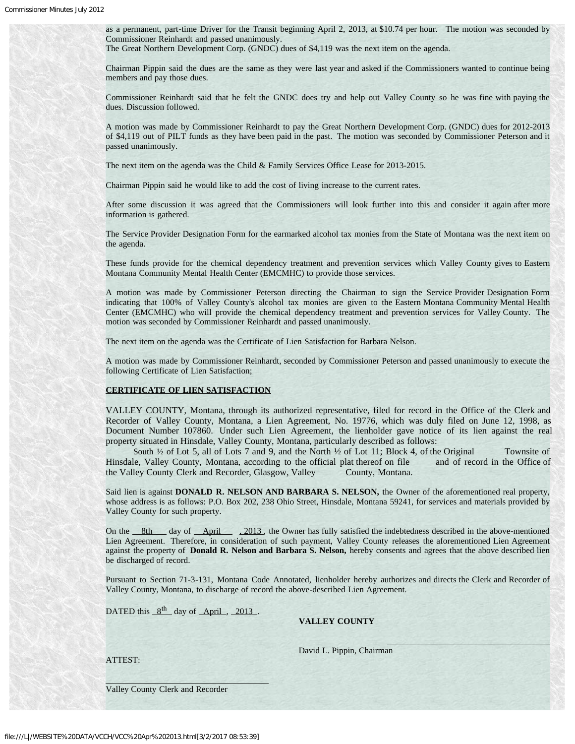as a permanent, part-time Driver for the Transit beginning April 2, 2013, at \$10.74 per hour. The motion was seconded by Commissioner Reinhardt and passed unanimously.

The Great Northern Development Corp. (GNDC) dues of \$4,119 was the next item on the agenda.

Chairman Pippin said the dues are the same as they were last year and asked if the Commissioners wanted to continue being members and pay those dues.

Commissioner Reinhardt said that he felt the GNDC does try and help out Valley County so he was fine with paying the dues. Discussion followed.

A motion was made by Commissioner Reinhardt to pay the Great Northern Development Corp. (GNDC) dues for 2012-2013 of \$4,119 out of PILT funds as they have been paid in the past. The motion was seconded by Commissioner Peterson and it passed unanimously.

The next item on the agenda was the Child & Family Services Office Lease for 2013-2015.

Chairman Pippin said he would like to add the cost of living increase to the current rates.

After some discussion it was agreed that the Commissioners will look further into this and consider it again after more information is gathered.

The Service Provider Designation Form for the earmarked alcohol tax monies from the State of Montana was the next item on the agenda.

These funds provide for the chemical dependency treatment and prevention services which Valley County gives to Eastern Montana Community Mental Health Center (EMCMHC) to provide those services.

A motion was made by Commissioner Peterson directing the Chairman to sign the Service Provider Designation Form indicating that 100% of Valley County's alcohol tax monies are given to the Eastern Montana Community Mental Health Center (EMCMHC) who will provide the chemical dependency treatment and prevention services for Valley County. The motion was seconded by Commissioner Reinhardt and passed unanimously.

The next item on the agenda was the Certificate of Lien Satisfaction for Barbara Nelson.

A motion was made by Commissioner Reinhardt, seconded by Commissioner Peterson and passed unanimously to execute the following Certificate of Lien Satisfaction;

### **CERTIFICATE OF LIEN SATISFACTION**

VALLEY COUNTY, Montana, through its authorized representative, filed for record in the Office of the Clerk and Recorder of Valley County, Montana, a Lien Agreement, No. 19776, which was duly filed on June 12, 1998, as Document Number 107860. Under such Lien Agreement, the lienholder gave notice of its lien against the real property situated in Hinsdale, Valley County, Montana, particularly described as follows:

South  $\frac{1}{2}$  of Lot 5, all of Lots 7 and 9, and the North  $\frac{1}{2}$  of Lot 11; Block 4, of the Original Townsite of Hinsdale, Valley County, Montana, according to the official plat thereof on file and of record in the Office of the Valley County Clerk and Recorder, Glasgow, Valley County, Montana.

Said lien is against **DONALD R. NELSON AND BARBARA S. NELSON,** the Owner of the aforementioned real property, whose address is as follows: P.O. Box 202, 238 Ohio Street, Hinsdale, Montana 59241, for services and materials provided by Valley County for such property.

On the 8th day of April , 2013, the Owner has fully satisfied the indebtedness described in the above-mentioned Lien Agreement. Therefore, in consideration of such payment, Valley County releases the aforementioned Lien Agreement against the property of **Donald R. Nelson and Barbara S. Nelson,** hereby consents and agrees that the above described lien be discharged of record.

Pursuant to Section 71-3-131, Montana Code Annotated, lienholder hereby authorizes and directs the Clerk and Recorder of Valley County, Montana, to discharge of record the above-described Lien Agreement.

DATED this  $8^{th}$  day of April, 2013.

### **VALLEY COUNTY**

ATTEST:

 $\overline{a}$ 

David L. Pippin, Chairman

Valley County Clerk and Recorder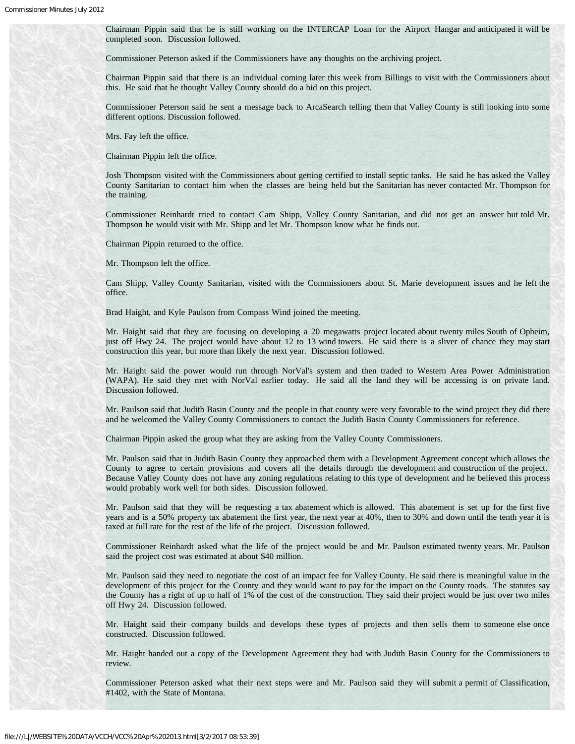Chairman Pippin said that he is still working on the INTERCAP Loan for the Airport Hangar and anticipated it will be completed soon. Discussion followed.

Commissioner Peterson asked if the Commissioners have any thoughts on the archiving project.

Chairman Pippin said that there is an individual coming later this week from Billings to visit with the Commissioners about this. He said that he thought Valley County should do a bid on this project.

Commissioner Peterson said he sent a message back to ArcaSearch telling them that Valley County is still looking into some different options. Discussion followed.

Mrs. Fay left the office.

Chairman Pippin left the office.

Josh Thompson visited with the Commissioners about getting certified to install septic tanks. He said he has asked the Valley County Sanitarian to contact him when the classes are being held but the Sanitarian has never contacted Mr. Thompson for the training.

Commissioner Reinhardt tried to contact Cam Shipp, Valley County Sanitarian, and did not get an answer but told Mr. Thompson he would visit with Mr. Shipp and let Mr. Thompson know what he finds out.

Chairman Pippin returned to the office.

Mr. Thompson left the office.

Cam Shipp, Valley County Sanitarian, visited with the Commissioners about St. Marie development issues and he left the office.

Brad Haight, and Kyle Paulson from Compass Wind joined the meeting.

Mr. Haight said that they are focusing on developing a 20 megawatts project located about twenty miles South of Opheim, just off Hwy 24. The project would have about 12 to 13 wind towers. He said there is a sliver of chance they may start construction this year, but more than likely the next year. Discussion followed.

Mr. Haight said the power would run through NorVal's system and then traded to Western Area Power Administration (WAPA). He said they met with NorVal earlier today. He said all the land they will be accessing is on private land. Discussion followed.

Mr. Paulson said that Judith Basin County and the people in that county were very favorable to the wind project they did there and he welcomed the Valley County Commissioners to contact the Judith Basin County Commissioners for reference.

Chairman Pippin asked the group what they are asking from the Valley County Commissioners.

Mr. Paulson said that in Judith Basin County they approached them with a Development Agreement concept which allows the County to agree to certain provisions and covers all the details through the development and construction of the project. Because Valley County does not have any zoning regulations relating to this type of development and he believed this process would probably work well for both sides. Discussion followed.

Mr. Paulson said that they will be requesting a tax abatement which is allowed. This abatement is set up for the first five years and is a 50% property tax abatement the first year, the next year at 40%, then to 30% and down until the tenth year it is taxed at full rate for the rest of the life of the project. Discussion followed.

Commissioner Reinhardt asked what the life of the project would be and Mr. Paulson estimated twenty years. Mr. Paulson said the project cost was estimated at about \$40 million.

Mr. Paulson said they need to negotiate the cost of an impact fee for Valley County. He said there is meaningful value in the development of this project for the County and they would want to pay for the impact on the County roads. The statutes say the County has a right of up to half of 1% of the cost of the construction. They said their project would be just over two miles off Hwy 24. Discussion followed.

Mr. Haight said their company builds and develops these types of projects and then sells them to someone else once constructed. Discussion followed.

Mr. Haight handed out a copy of the Development Agreement they had with Judith Basin County for the Commissioners to review.

Commissioner Peterson asked what their next steps were and Mr. Paulson said they will submit a permit of Classification, #1402, with the State of Montana.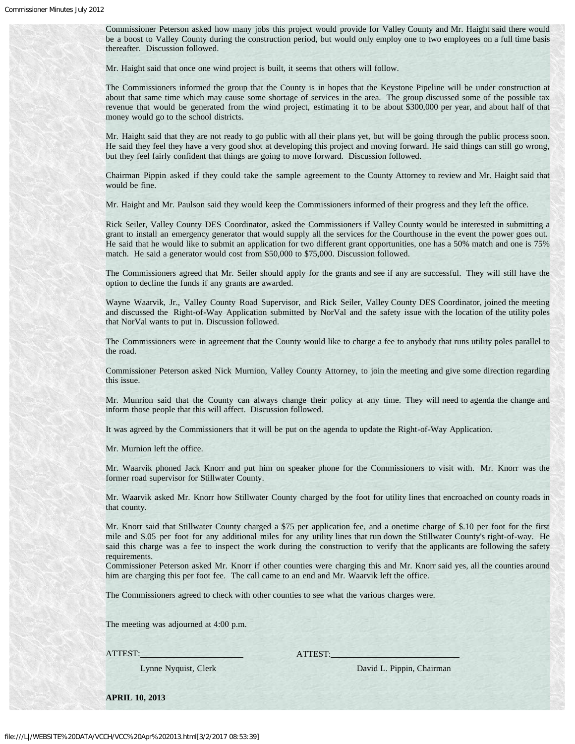Commissioner Peterson asked how many jobs this project would provide for Valley County and Mr. Haight said there would be a boost to Valley County during the construction period, but would only employ one to two employees on a full time basis thereafter. Discussion followed.

Mr. Haight said that once one wind project is built, it seems that others will follow.

The Commissioners informed the group that the County is in hopes that the Keystone Pipeline will be under construction at about that same time which may cause some shortage of services in the area. The group discussed some of the possible tax revenue that would be generated from the wind project, estimating it to be about \$300,000 per year, and about half of that money would go to the school districts.

Mr. Haight said that they are not ready to go public with all their plans yet, but will be going through the public process soon. He said they feel they have a very good shot at developing this project and moving forward. He said things can still go wrong, but they feel fairly confident that things are going to move forward. Discussion followed.

Chairman Pippin asked if they could take the sample agreement to the County Attorney to review and Mr. Haight said that would be fine.

Mr. Haight and Mr. Paulson said they would keep the Commissioners informed of their progress and they left the office.

Rick Seiler, Valley County DES Coordinator, asked the Commissioners if Valley County would be interested in submitting a grant to install an emergency generator that would supply all the services for the Courthouse in the event the power goes out. He said that he would like to submit an application for two different grant opportunities, one has a 50% match and one is 75% match. He said a generator would cost from \$50,000 to \$75,000. Discussion followed.

The Commissioners agreed that Mr. Seiler should apply for the grants and see if any are successful. They will still have the option to decline the funds if any grants are awarded.

Wayne Waarvik, Jr., Valley County Road Supervisor, and Rick Seiler, Valley County DES Coordinator, joined the meeting and discussed the Right-of-Way Application submitted by NorVal and the safety issue with the location of the utility poles that NorVal wants to put in. Discussion followed.

The Commissioners were in agreement that the County would like to charge a fee to anybody that runs utility poles parallel to the road.

Commissioner Peterson asked Nick Murnion, Valley County Attorney, to join the meeting and give some direction regarding this issue.

Mr. Munrion said that the County can always change their policy at any time. They will need to agenda the change and inform those people that this will affect. Discussion followed.

It was agreed by the Commissioners that it will be put on the agenda to update the Right-of-Way Application.

Mr. Murnion left the office.

Mr. Waarvik phoned Jack Knorr and put him on speaker phone for the Commissioners to visit with. Mr. Knorr was the former road supervisor for Stillwater County.

Mr. Waarvik asked Mr. Knorr how Stillwater County charged by the foot for utility lines that encroached on county roads in that county.

Mr. Knorr said that Stillwater County charged a \$75 per application fee, and a onetime charge of \$.10 per foot for the first mile and \$.05 per foot for any additional miles for any utility lines that run down the Stillwater County's right-of-way. He said this charge was a fee to inspect the work during the construction to verify that the applicants are following the safety requirements.

Commissioner Peterson asked Mr. Knorr if other counties were charging this and Mr. Knorr said yes, all the counties around him are charging this per foot fee. The call came to an end and Mr. Waarvik left the office.

The Commissioners agreed to check with other counties to see what the various charges were.

The meeting was adjourned at 4:00 p.m.

ATTEST: ATTEST:

Lynne Nyquist, Clerk David L. Pippin, Chairman

**APRIL 10, 2013**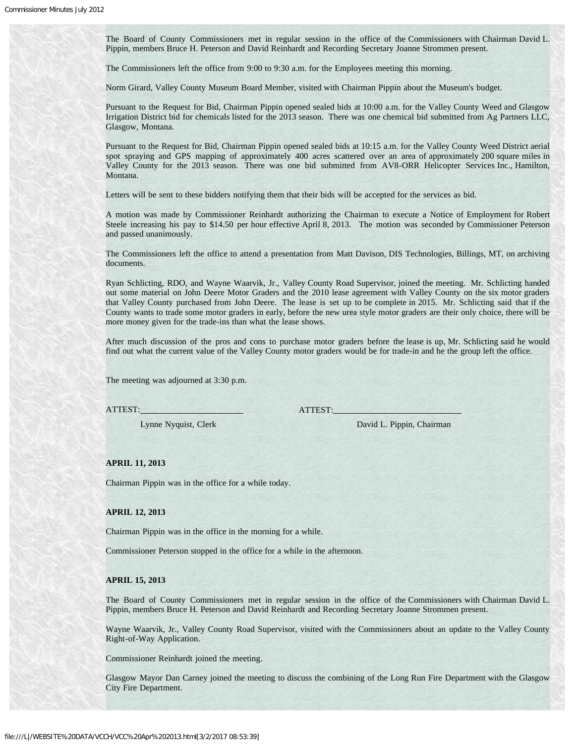The Board of County Commissioners met in regular session in the office of the Commissioners with Chairman David L. Pippin, members Bruce H. Peterson and David Reinhardt and Recording Secretary Joanne Strommen present.

The Commissioners left the office from 9:00 to 9:30 a.m. for the Employees meeting this morning.

Norm Girard, Valley County Museum Board Member, visited with Chairman Pippin about the Museum's budget.

Pursuant to the Request for Bid, Chairman Pippin opened sealed bids at 10:00 a.m. for the Valley County Weed and Glasgow Irrigation District bid for chemicals listed for the 2013 season. There was one chemical bid submitted from Ag Partners LLC, Glasgow, Montana.

Pursuant to the Request for Bid, Chairman Pippin opened sealed bids at 10:15 a.m. for the Valley County Weed District aerial spot spraying and GPS mapping of approximately 400 acres scattered over an area of approximately 200 square miles in Valley County for the 2013 season. There was one bid submitted from AV8-ORR Helicopter Services Inc., Hamilton, Montana.

Letters will be sent to these bidders notifying them that their bids will be accepted for the services as bid.

A motion was made by Commissioner Reinhardt authorizing the Chairman to execute a Notice of Employment for Robert Steele increasing his pay to \$14.50 per hour effective April 8, 2013. The motion was seconded by Commissioner Peterson and passed unanimously.

The Commissioners left the office to attend a presentation from Matt Davison, DIS Technologies, Billings, MT, on archiving documents.

Ryan Schlicting, RDO, and Wayne Waarvik, Jr., Valley County Road Supervisor, joined the meeting. Mr. Schlicting handed out some material on John Deere Motor Graders and the 2010 lease agreement with Valley County on the six motor graders that Valley County purchased from John Deere. The lease is set up to be complete in 2015. Mr. Schlicting said that if the County wants to trade some motor graders in early, before the new urea style motor graders are their only choice, there will be more money given for the trade-ins than what the lease shows.

After much discussion of the pros and cons to purchase motor graders before the lease is up, Mr. Schlicting said he would find out what the current value of the Valley County motor graders would be for trade-in and he the group left the office.

The meeting was adjourned at 3:30 p.m.

ATTEST: ATTEST:

Lynne Nyquist, Clerk David L. Pippin, Chairman

# **APRIL 11, 2013**

Chairman Pippin was in the office for a while today.

**APRIL 12, 2013**

Chairman Pippin was in the office in the morning for a while.

Commissioner Peterson stopped in the office for a while in the afternoon.

#### **APRIL 15, 2013**

The Board of County Commissioners met in regular session in the office of the Commissioners with Chairman David L. Pippin, members Bruce H. Peterson and David Reinhardt and Recording Secretary Joanne Strommen present.

Wayne Waarvik, Jr., Valley County Road Supervisor, visited with the Commissioners about an update to the Valley County Right-of-Way Application.

Commissioner Reinhardt joined the meeting.

Glasgow Mayor Dan Carney joined the meeting to discuss the combining of the Long Run Fire Department with the Glasgow City Fire Department.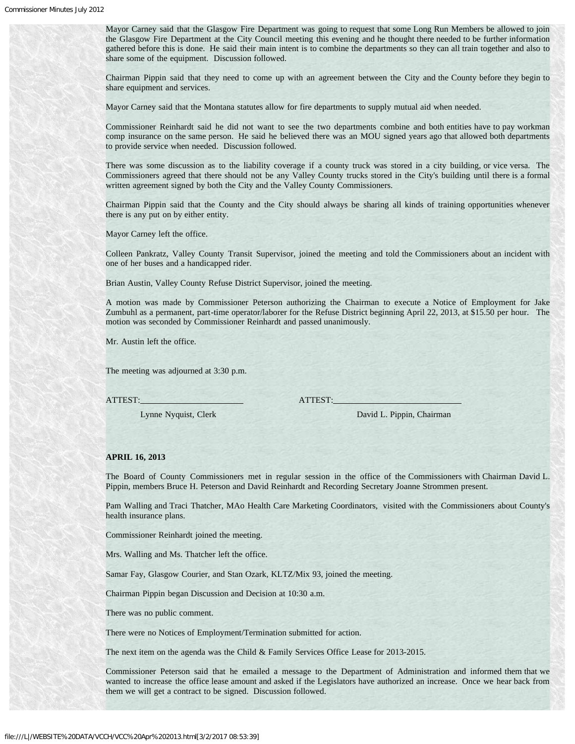Mayor Carney said that the Glasgow Fire Department was going to request that some Long Run Members be allowed to join the Glasgow Fire Department at the City Council meeting this evening and he thought there needed to be further information gathered before this is done. He said their main intent is to combine the departments so they can all train together and also to share some of the equipment. Discussion followed.

Chairman Pippin said that they need to come up with an agreement between the City and the County before they begin to share equipment and services.

Mayor Carney said that the Montana statutes allow for fire departments to supply mutual aid when needed.

Commissioner Reinhardt said he did not want to see the two departments combine and both entities have to pay workman comp insurance on the same person. He said he believed there was an MOU signed years ago that allowed both departments to provide service when needed. Discussion followed.

There was some discussion as to the liability coverage if a county truck was stored in a city building, or vice versa. The Commissioners agreed that there should not be any Valley County trucks stored in the City's building until there is a formal written agreement signed by both the City and the Valley County Commissioners.

Chairman Pippin said that the County and the City should always be sharing all kinds of training opportunities whenever there is any put on by either entity.

Mayor Carney left the office.

Colleen Pankratz, Valley County Transit Supervisor, joined the meeting and told the Commissioners about an incident with one of her buses and a handicapped rider.

Brian Austin, Valley County Refuse District Supervisor, joined the meeting.

A motion was made by Commissioner Peterson authorizing the Chairman to execute a Notice of Employment for Jake Zumbuhl as a permanent, part-time operator/laborer for the Refuse District beginning April 22, 2013, at \$15.50 per hour. The motion was seconded by Commissioner Reinhardt and passed unanimously.

Mr. Austin left the office.

The meeting was adjourned at 3:30 p.m.

ATTEST: ATTEST:

Lynne Nyquist, Clerk David L. Pippin, Chairman

### **APRIL 16, 2013**

The Board of County Commissioners met in regular session in the office of the Commissioners with Chairman David L. Pippin, members Bruce H. Peterson and David Reinhardt and Recording Secretary Joanne Strommen present.

Pam Walling and Traci Thatcher, MAo Health Care Marketing Coordinators, visited with the Commissioners about County's health insurance plans.

Commissioner Reinhardt joined the meeting.

Mrs. Walling and Ms. Thatcher left the office.

Samar Fay, Glasgow Courier, and Stan Ozark, KLTZ/Mix 93, joined the meeting.

Chairman Pippin began Discussion and Decision at 10:30 a.m.

There was no public comment.

There were no Notices of Employment/Termination submitted for action.

The next item on the agenda was the Child & Family Services Office Lease for 2013-2015.

Commissioner Peterson said that he emailed a message to the Department of Administration and informed them that we wanted to increase the office lease amount and asked if the Legislators have authorized an increase. Once we hear back from them we will get a contract to be signed. Discussion followed.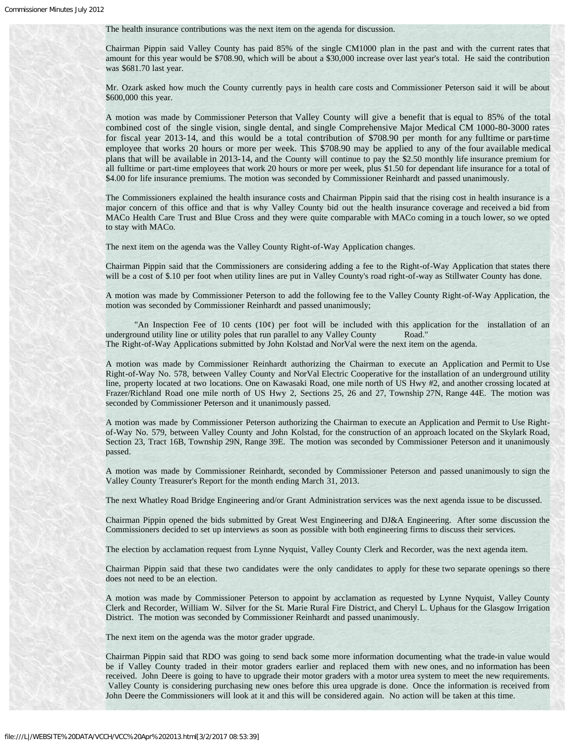The health insurance contributions was the next item on the agenda for discussion.

Chairman Pippin said Valley County has paid 85% of the single CM1000 plan in the past and with the current rates that amount for this year would be \$708.90, which will be about a \$30,000 increase over last year's total. He said the contribution was \$681.70 last year.

Mr. Ozark asked how much the County currently pays in health care costs and Commissioner Peterson said it will be about \$600,000 this year.

A motion was made by Commissioner Peterson that Valley County will give a benefit that is equal to 85% of the total combined cost of the single vision, single dental, and single Comprehensive Major Medical CM 1000-80-3000 rates for fiscal year 2013-14, and this would be a total contribution of \$708.90 per month for any fulltime or part-time employee that works 20 hours or more per week. This \$708.90 may be applied to any of the four available medical plans that will be available in 2013-14, and the County will continue to pay the \$2.50 monthly life insurance premium for all fulltime or part-time employees that work 20 hours or more per week, plus \$1.50 for dependant life insurance for a total of \$4.00 for life insurance premiums. The motion was seconded by Commissioner Reinhardt and passed unanimously.

The Commissioners explained the health insurance costs and Chairman Pippin said that the rising cost in health insurance is a major concern of this office and that is why Valley County bid out the health insurance coverage and received a bid from MACo Health Care Trust and Blue Cross and they were quite comparable with MACo coming in a touch lower, so we opted to stay with MACo.

The next item on the agenda was the Valley County Right-of-Way Application changes.

Chairman Pippin said that the Commissioners are considering adding a fee to the Right-of-Way Application that states there will be a cost of \$.10 per foot when utility lines are put in Valley County's road right-of-way as Stillwater County has done.

A motion was made by Commissioner Peterson to add the following fee to the Valley County Right-of-Way Application, the motion was seconded by Commissioner Reinhardt and passed unanimously;

"An Inspection Fee of 10 cents  $(10¢)$  per foot will be included with this application for the installation of an underground utility line or utility poles that run parallel to any Valley County Road." The Right-of-Way Applications submitted by John Kolstad and NorVal were the next item on the agenda.

A motion was made by Commissioner Reinhardt authorizing the Chairman to execute an Application and Permit to Use Right-of-Way No. 578, between Valley County and NorVal Electric Cooperative for the installation of an underground utility line, property located at two locations. One on Kawasaki Road, one mile north of US Hwy #2, and another crossing located at Frazer/Richland Road one mile north of US Hwy 2, Sections 25, 26 and 27, Township 27N, Range 44E. The motion was seconded by Commissioner Peterson and it unanimously passed.

A motion was made by Commissioner Peterson authorizing the Chairman to execute an Application and Permit to Use Rightof-Way No. 579, between Valley County and John Kolstad, for the construction of an approach located on the Skylark Road, Section 23, Tract 16B, Township 29N, Range 39E. The motion was seconded by Commissioner Peterson and it unanimously passed.

A motion was made by Commissioner Reinhardt, seconded by Commissioner Peterson and passed unanimously to sign the Valley County Treasurer's Report for the month ending March 31, 2013.

The next Whatley Road Bridge Engineering and/or Grant Administration services was the next agenda issue to be discussed.

Chairman Pippin opened the bids submitted by Great West Engineering and DJ&A Engineering. After some discussion the Commissioners decided to set up interviews as soon as possible with both engineering firms to discuss their services.

The election by acclamation request from Lynne Nyquist, Valley County Clerk and Recorder, was the next agenda item.

Chairman Pippin said that these two candidates were the only candidates to apply for these two separate openings so there does not need to be an election.

A motion was made by Commissioner Peterson to appoint by acclamation as requested by Lynne Nyquist, Valley County Clerk and Recorder, William W. Silver for the St. Marie Rural Fire District, and Cheryl L. Uphaus for the Glasgow Irrigation District. The motion was seconded by Commissioner Reinhardt and passed unanimously.

The next item on the agenda was the motor grader upgrade.

Chairman Pippin said that RDO was going to send back some more information documenting what the trade-in value would be if Valley County traded in their motor graders earlier and replaced them with new ones, and no information has been received. John Deere is going to have to upgrade their motor graders with a motor urea system to meet the new requirements. Valley County is considering purchasing new ones before this urea upgrade is done. Once the information is received from John Deere the Commissioners will look at it and this will be considered again. No action will be taken at this time.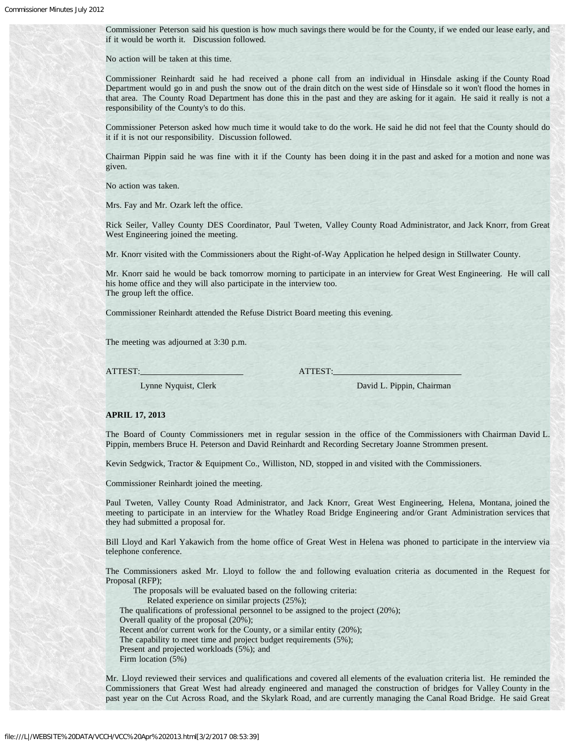Commissioner Peterson said his question is how much savings there would be for the County, if we ended our lease early, and if it would be worth it. Discussion followed.

No action will be taken at this time.

Commissioner Reinhardt said he had received a phone call from an individual in Hinsdale asking if the County Road Department would go in and push the snow out of the drain ditch on the west side of Hinsdale so it won't flood the homes in that area. The County Road Department has done this in the past and they are asking for it again. He said it really is not a responsibility of the County's to do this.

Commissioner Peterson asked how much time it would take to do the work. He said he did not feel that the County should do it if it is not our responsibility. Discussion followed.

Chairman Pippin said he was fine with it if the County has been doing it in the past and asked for a motion and none was given.

No action was taken.

Mrs. Fay and Mr. Ozark left the office.

Rick Seiler, Valley County DES Coordinator, Paul Tweten, Valley County Road Administrator, and Jack Knorr, from Great West Engineering joined the meeting.

Mr. Knorr visited with the Commissioners about the Right-of-Way Application he helped design in Stillwater County.

Mr. Knorr said he would be back tomorrow morning to participate in an interview for Great West Engineering. He will call his home office and they will also participate in the interview too. The group left the office.

Commissioner Reinhardt attended the Refuse District Board meeting this evening.

The meeting was adjourned at 3:30 p.m.

ATTEST: ATTEST:

Lynne Nyquist, Clerk David L. Pippin, Chairman

### **APRIL 17, 2013**

The Board of County Commissioners met in regular session in the office of the Commissioners with Chairman David L. Pippin, members Bruce H. Peterson and David Reinhardt and Recording Secretary Joanne Strommen present.

Kevin Sedgwick, Tractor & Equipment Co., Williston, ND, stopped in and visited with the Commissioners.

Commissioner Reinhardt joined the meeting.

Paul Tweten, Valley County Road Administrator, and Jack Knorr, Great West Engineering, Helena, Montana, joined the meeting to participate in an interview for the Whatley Road Bridge Engineering and/or Grant Administration services that they had submitted a proposal for.

Bill Lloyd and Karl Yakawich from the home office of Great West in Helena was phoned to participate in the interview via telephone conference.

The Commissioners asked Mr. Lloyd to follow the and following evaluation criteria as documented in the Request for Proposal (RFP);

 The proposals will be evaluated based on the following criteria: Related experience on similar projects (25%); The qualifications of professional personnel to be assigned to the project (20%); Overall quality of the proposal (20%); Recent and/or current work for the County, or a similar entity (20%); The capability to meet time and project budget requirements (5%); Present and projected workloads (5%); and Firm location (5%)

Mr. Lloyd reviewed their services and qualifications and covered all elements of the evaluation criteria list. He reminded the Commissioners that Great West had already engineered and managed the construction of bridges for Valley County in the past year on the Cut Across Road, and the Skylark Road, and are currently managing the Canal Road Bridge. He said Great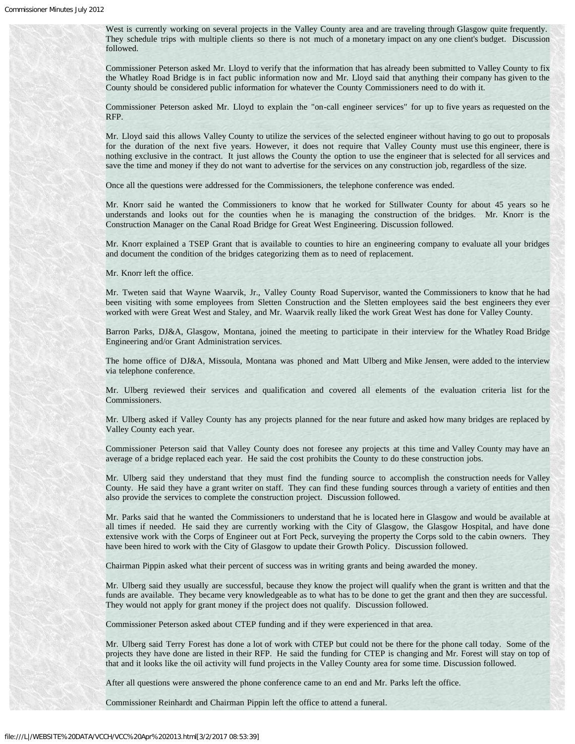West is currently working on several projects in the Valley County area and are traveling through Glasgow quite frequently. They schedule trips with multiple clients so there is not much of a monetary impact on any one client's budget. Discussion followed.

Commissioner Peterson asked Mr. Lloyd to verify that the information that has already been submitted to Valley County to fix the Whatley Road Bridge is in fact public information now and Mr. Lloyd said that anything their company has given to the County should be considered public information for whatever the County Commissioners need to do with it.

Commissioner Peterson asked Mr. Lloyd to explain the "on-call engineer services" for up to five years as requested on the RFP.

Mr. Lloyd said this allows Valley County to utilize the services of the selected engineer without having to go out to proposals for the duration of the next five years. However, it does not require that Valley County must use this engineer, there is nothing exclusive in the contract. It just allows the County the option to use the engineer that is selected for all services and save the time and money if they do not want to advertise for the services on any construction job, regardless of the size.

Once all the questions were addressed for the Commissioners, the telephone conference was ended.

Mr. Knorr said he wanted the Commissioners to know that he worked for Stillwater County for about 45 years so he understands and looks out for the counties when he is managing the construction of the bridges. Mr. Knorr is the Construction Manager on the Canal Road Bridge for Great West Engineering. Discussion followed.

Mr. Knorr explained a TSEP Grant that is available to counties to hire an engineering company to evaluate all your bridges and document the condition of the bridges categorizing them as to need of replacement.

Mr. Knorr left the office.

Mr. Tweten said that Wayne Waarvik, Jr., Valley County Road Supervisor, wanted the Commissioners to know that he had been visiting with some employees from Sletten Construction and the Sletten employees said the best engineers they ever worked with were Great West and Staley, and Mr. Waarvik really liked the work Great West has done for Valley County.

Barron Parks, DJ&A, Glasgow, Montana, joined the meeting to participate in their interview for the Whatley Road Bridge Engineering and/or Grant Administration services.

The home office of DJ&A, Missoula, Montana was phoned and Matt Ulberg and Mike Jensen, were added to the interview via telephone conference.

Mr. Ulberg reviewed their services and qualification and covered all elements of the evaluation criteria list for the Commissioners.

Mr. Ulberg asked if Valley County has any projects planned for the near future and asked how many bridges are replaced by Valley County each year.

Commissioner Peterson said that Valley County does not foresee any projects at this time and Valley County may have an average of a bridge replaced each year. He said the cost prohibits the County to do these construction jobs.

Mr. Ulberg said they understand that they must find the funding source to accomplish the construction needs for Valley County. He said they have a grant writer on staff. They can find these funding sources through a variety of entities and then also provide the services to complete the construction project. Discussion followed.

Mr. Parks said that he wanted the Commissioners to understand that he is located here in Glasgow and would be available at all times if needed. He said they are currently working with the City of Glasgow, the Glasgow Hospital, and have done extensive work with the Corps of Engineer out at Fort Peck, surveying the property the Corps sold to the cabin owners. They have been hired to work with the City of Glasgow to update their Growth Policy. Discussion followed.

Chairman Pippin asked what their percent of success was in writing grants and being awarded the money.

Mr. Ulberg said they usually are successful, because they know the project will qualify when the grant is written and that the funds are available. They became very knowledgeable as to what has to be done to get the grant and then they are successful. They would not apply for grant money if the project does not qualify. Discussion followed.

Commissioner Peterson asked about CTEP funding and if they were experienced in that area.

Mr. Ulberg said Terry Forest has done a lot of work with CTEP but could not be there for the phone call today. Some of the projects they have done are listed in their RFP. He said the funding for CTEP is changing and Mr. Forest will stay on top of that and it looks like the oil activity will fund projects in the Valley County area for some time. Discussion followed.

After all questions were answered the phone conference came to an end and Mr. Parks left the office.

Commissioner Reinhardt and Chairman Pippin left the office to attend a funeral.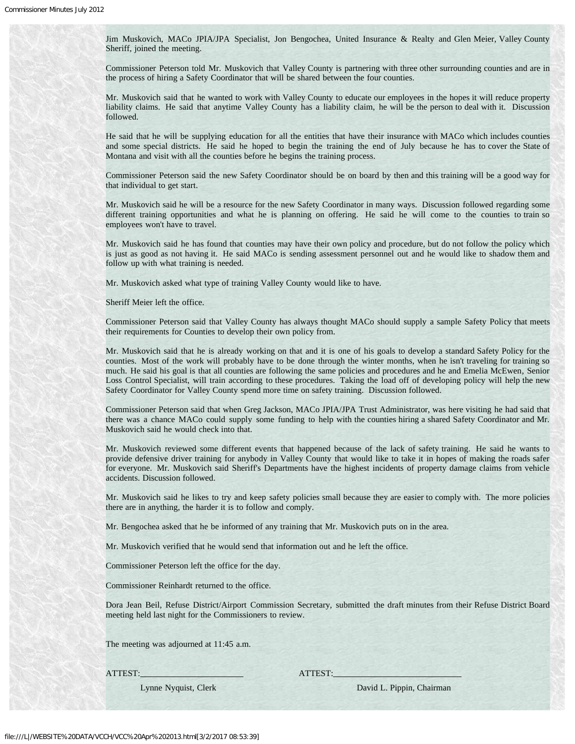Jim Muskovich, MACo JPIA/JPA Specialist, Jon Bengochea, United Insurance & Realty and Glen Meier, Valley County Sheriff, joined the meeting.

Commissioner Peterson told Mr. Muskovich that Valley County is partnering with three other surrounding counties and are in the process of hiring a Safety Coordinator that will be shared between the four counties.

Mr. Muskovich said that he wanted to work with Valley County to educate our employees in the hopes it will reduce property liability claims. He said that anytime Valley County has a liability claim, he will be the person to deal with it. Discussion followed.

He said that he will be supplying education for all the entities that have their insurance with MACo which includes counties and some special districts. He said he hoped to begin the training the end of July because he has to cover the State of Montana and visit with all the counties before he begins the training process.

Commissioner Peterson said the new Safety Coordinator should be on board by then and this training will be a good way for that individual to get start.

Mr. Muskovich said he will be a resource for the new Safety Coordinator in many ways. Discussion followed regarding some different training opportunities and what he is planning on offering. He said he will come to the counties to train so employees won't have to travel.

Mr. Muskovich said he has found that counties may have their own policy and procedure, but do not follow the policy which is just as good as not having it. He said MACo is sending assessment personnel out and he would like to shadow them and follow up with what training is needed.

Mr. Muskovich asked what type of training Valley County would like to have.

Sheriff Meier left the office.

Commissioner Peterson said that Valley County has always thought MACo should supply a sample Safety Policy that meets their requirements for Counties to develop their own policy from.

Mr. Muskovich said that he is already working on that and it is one of his goals to develop a standard Safety Policy for the counties. Most of the work will probably have to be done through the winter months, when he isn't traveling for training so much. He said his goal is that all counties are following the same policies and procedures and he and Emelia McEwen, Senior Loss Control Specialist, will train according to these procedures. Taking the load off of developing policy will help the new Safety Coordinator for Valley County spend more time on safety training. Discussion followed.

Commissioner Peterson said that when Greg Jackson, MACo JPIA/JPA Trust Administrator, was here visiting he had said that there was a chance MACo could supply some funding to help with the counties hiring a shared Safety Coordinator and Mr. Muskovich said he would check into that.

Mr. Muskovich reviewed some different events that happened because of the lack of safety training. He said he wants to provide defensive driver training for anybody in Valley County that would like to take it in hopes of making the roads safer for everyone. Mr. Muskovich said Sheriff's Departments have the highest incidents of property damage claims from vehicle accidents. Discussion followed.

Mr. Muskovich said he likes to try and keep safety policies small because they are easier to comply with. The more policies there are in anything, the harder it is to follow and comply.

Mr. Bengochea asked that he be informed of any training that Mr. Muskovich puts on in the area.

Mr. Muskovich verified that he would send that information out and he left the office.

Commissioner Peterson left the office for the day.

Commissioner Reinhardt returned to the office.

Dora Jean Beil, Refuse District/Airport Commission Secretary, submitted the draft minutes from their Refuse District Board meeting held last night for the Commissioners to review.

The meeting was adjourned at 11:45 a.m.

ATTEST: ATTEST:

Lynne Nyquist, Clerk David L. Pippin, Chairman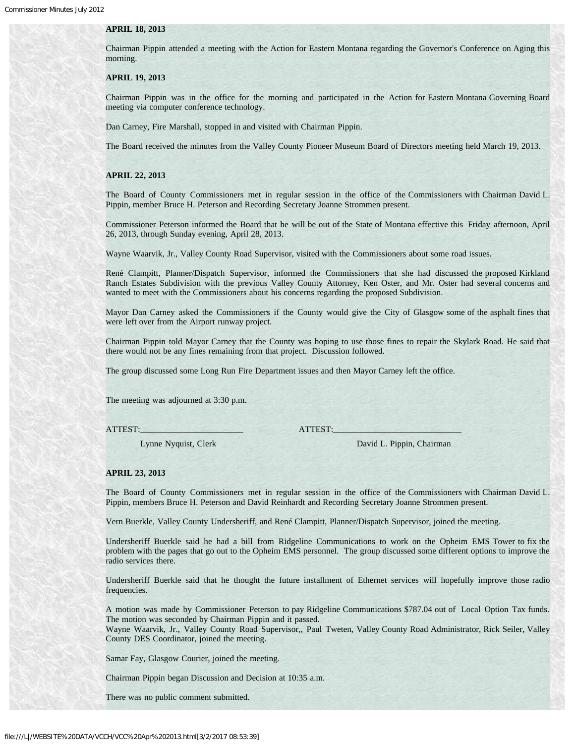#### **APRIL 18, 2013**

Chairman Pippin attended a meeting with the Action for Eastern Montana regarding the Governor's Conference on Aging this morning.

### **APRIL 19, 2013**

Chairman Pippin was in the office for the morning and participated in the Action for Eastern Montana Governing Board meeting via computer conference technology.

Dan Carney, Fire Marshall, stopped in and visited with Chairman Pippin.

The Board received the minutes from the Valley County Pioneer Museum Board of Directors meeting held March 19, 2013.

#### **APRIL 22, 2013**

The Board of County Commissioners met in regular session in the office of the Commissioners with Chairman David L. Pippin, member Bruce H. Peterson and Recording Secretary Joanne Strommen present.

Commissioner Peterson informed the Board that he will be out of the State of Montana effective this Friday afternoon, April 26, 2013, through Sunday evening, April 28, 2013.

Wayne Waarvik, Jr., Valley County Road Supervisor, visited with the Commissioners about some road issues.

René Clampitt, Planner/Dispatch Supervisor, informed the Commissioners that she had discussed the proposed Kirkland Ranch Estates Subdivision with the previous Valley County Attorney, Ken Oster, and Mr. Oster had several concerns and wanted to meet with the Commissioners about his concerns regarding the proposed Subdivision.

Mayor Dan Carney asked the Commissioners if the County would give the City of Glasgow some of the asphalt fines that were left over from the Airport runway project.

Chairman Pippin told Mayor Carney that the County was hoping to use those fines to repair the Skylark Road. He said that there would not be any fines remaining from that project. Discussion followed.

The group discussed some Long Run Fire Department issues and then Mayor Carney left the office.

The meeting was adjourned at 3:30 p.m.

#### ATTEST: ATTEST:

Lynne Nyquist, Clerk David L. Pippin, Chairman

#### **APRIL 23, 2013**

The Board of County Commissioners met in regular session in the office of the Commissioners with Chairman David L. Pippin, members Bruce H. Peterson and David Reinhardt and Recording Secretary Joanne Strommen present.

Vern Buerkle, Valley County Undersheriff, and René Clampitt, Planner/Dispatch Supervisor, joined the meeting.

Undersheriff Buerkle said he had a bill from Ridgeline Communications to work on the Opheim EMS Tower to fix the problem with the pages that go out to the Opheim EMS personnel. The group discussed some different options to improve the radio services there.

Undersheriff Buerkle said that he thought the future installment of Ethernet services will hopefully improve those radio frequencies.

A motion was made by Commissioner Peterson to pay Ridgeline Communications \$787.04 out of Local Option Tax funds. The motion was seconded by Chairman Pippin and it passed.

Wayne Waarvik, Jr., Valley County Road Supervisor,, Paul Tweten, Valley County Road Administrator, Rick Seiler, Valley County DES Coordinator, joined the meeting.

Samar Fay, Glasgow Courier, joined the meeting.

Chairman Pippin began Discussion and Decision at 10:35 a.m.

There was no public comment submitted.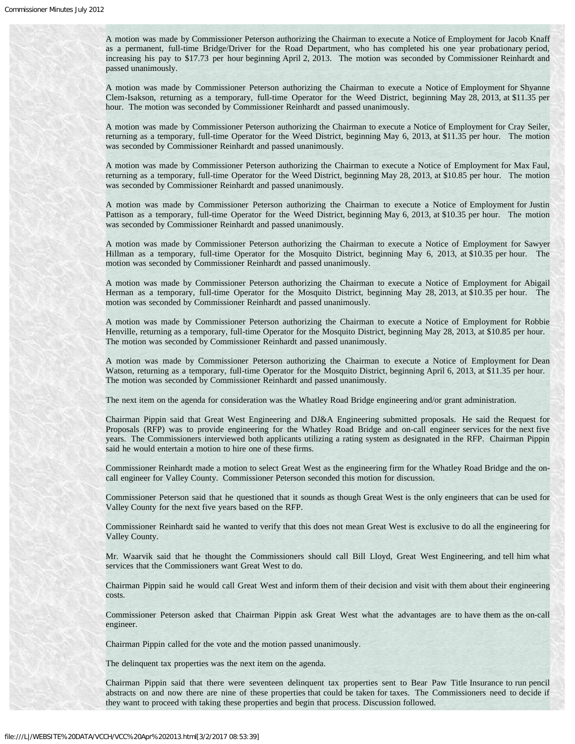A motion was made by Commissioner Peterson authorizing the Chairman to execute a Notice of Employment for Jacob Knaff as a permanent, full-time Bridge/Driver for the Road Department, who has completed his one year probationary period, increasing his pay to \$17.73 per hour beginning April 2, 2013. The motion was seconded by Commissioner Reinhardt and passed unanimously.

A motion was made by Commissioner Peterson authorizing the Chairman to execute a Notice of Employment for Shyanne Clem-Isakson, returning as a temporary, full-time Operator for the Weed District, beginning May 28, 2013, at \$11.35 per hour. The motion was seconded by Commissioner Reinhardt and passed unanimously.

A motion was made by Commissioner Peterson authorizing the Chairman to execute a Notice of Employment for Cray Seiler, returning as a temporary, full-time Operator for the Weed District, beginning May 6, 2013, at \$11.35 per hour. The motion was seconded by Commissioner Reinhardt and passed unanimously.

A motion was made by Commissioner Peterson authorizing the Chairman to execute a Notice of Employment for Max Faul, returning as a temporary, full-time Operator for the Weed District, beginning May 28, 2013, at \$10.85 per hour. The motion was seconded by Commissioner Reinhardt and passed unanimously.

A motion was made by Commissioner Peterson authorizing the Chairman to execute a Notice of Employment for Justin Pattison as a temporary, full-time Operator for the Weed District, beginning May 6, 2013, at \$10.35 per hour. The motion was seconded by Commissioner Reinhardt and passed unanimously.

A motion was made by Commissioner Peterson authorizing the Chairman to execute a Notice of Employment for Sawyer Hillman as a temporary, full-time Operator for the Mosquito District, beginning May 6, 2013, at \$10.35 per hour. The motion was seconded by Commissioner Reinhardt and passed unanimously.

A motion was made by Commissioner Peterson authorizing the Chairman to execute a Notice of Employment for Abigail Herman as a temporary, full-time Operator for the Mosquito District, beginning May 28, 2013, at \$10.35 per hour. The motion was seconded by Commissioner Reinhardt and passed unanimously.

A motion was made by Commissioner Peterson authorizing the Chairman to execute a Notice of Employment for Robbie Henville, returning as a temporary, full-time Operator for the Mosquito District, beginning May 28, 2013, at \$10.85 per hour. The motion was seconded by Commissioner Reinhardt and passed unanimously.

A motion was made by Commissioner Peterson authorizing the Chairman to execute a Notice of Employment for Dean Watson, returning as a temporary, full-time Operator for the Mosquito District, beginning April 6, 2013, at \$11.35 per hour. The motion was seconded by Commissioner Reinhardt and passed unanimously.

The next item on the agenda for consideration was the Whatley Road Bridge engineering and/or grant administration.

Chairman Pippin said that Great West Engineering and DJ&A Engineering submitted proposals. He said the Request for Proposals (RFP) was to provide engineering for the Whatley Road Bridge and on-call engineer services for the next five years. The Commissioners interviewed both applicants utilizing a rating system as designated in the RFP. Chairman Pippin said he would entertain a motion to hire one of these firms.

Commissioner Reinhardt made a motion to select Great West as the engineering firm for the Whatley Road Bridge and the oncall engineer for Valley County. Commissioner Peterson seconded this motion for discussion.

Commissioner Peterson said that he questioned that it sounds as though Great West is the only engineers that can be used for Valley County for the next five years based on the RFP.

Commissioner Reinhardt said he wanted to verify that this does not mean Great West is exclusive to do all the engineering for Valley County.

Mr. Waarvik said that he thought the Commissioners should call Bill Lloyd, Great West Engineering, and tell him what services that the Commissioners want Great West to do.

Chairman Pippin said he would call Great West and inform them of their decision and visit with them about their engineering costs.

Commissioner Peterson asked that Chairman Pippin ask Great West what the advantages are to have them as the on-call engineer.

Chairman Pippin called for the vote and the motion passed unanimously.

The delinquent tax properties was the next item on the agenda.

Chairman Pippin said that there were seventeen delinquent tax properties sent to Bear Paw Title Insurance to run pencil abstracts on and now there are nine of these properties that could be taken for taxes. The Commissioners need to decide if they want to proceed with taking these properties and begin that process. Discussion followed.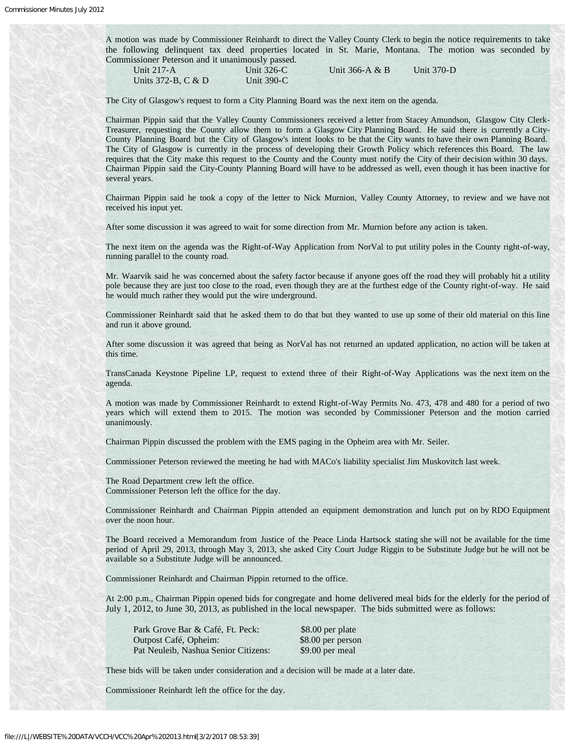A motion was made by Commissioner Reinhardt to direct the Valley County Clerk to begin the notice requirements to take the following delinquent tax deed properties located in St. Marie, Montana. The motion was seconded by Commissioner Peterson and it unanimously passed.

Units 372-B, C & D Unit 390-C

Unit 326-C Unit 366-A & B Unit 370-D

The City of Glasgow's request to form a City Planning Board was the next item on the agenda.

Chairman Pippin said that the Valley County Commissioners received a letter from Stacey Amundson, Glasgow City Clerk-Treasurer, requesting the County allow them to form a Glasgow City Planning Board. He said there is currently a City-County Planning Board but the City of Glasgow's intent looks to be that the City wants to have their own Planning Board. The City of Glasgow is currently in the process of developing their Growth Policy which references this Board. The law requires that the City make this request to the County and the County must notify the City of their decision within 30 days. Chairman Pippin said the City-County Planning Board will have to be addressed as well, even though it has been inactive for several years.

Chairman Pippin said he took a copy of the letter to Nick Murnion, Valley County Attorney, to review and we have not received his input yet.

After some discussion it was agreed to wait for some direction from Mr. Murnion before any action is taken.

The next item on the agenda was the Right-of-Way Application from NorVal to put utility poles in the County right-of-way, running parallel to the county road.

Mr. Waarvik said he was concerned about the safety factor because if anyone goes off the road they will probably hit a utility pole because they are just too close to the road, even though they are at the furthest edge of the County right-of-way. He said he would much rather they would put the wire underground.

Commissioner Reinhardt said that he asked them to do that but they wanted to use up some of their old material on this line and run it above ground.

After some discussion it was agreed that being as NorVal has not returned an updated application, no action will be taken at this time.

TransCanada Keystone Pipeline LP, request to extend three of their Right-of-Way Applications was the next item on the agenda.

A motion was made by Commissioner Reinhardt to extend Right-of-Way Permits No. 473, 478 and 480 for a period of two years which will extend them to 2015. The motion was seconded by Commissioner Peterson and the motion carried unanimously.

Chairman Pippin discussed the problem with the EMS paging in the Opheim area with Mr. Seiler.

Commissioner Peterson reviewed the meeting he had with MACo's liability specialist Jim Muskovitch last week.

The Road Department crew left the office. Commissioner Peterson left the office for the day.

Commissioner Reinhardt and Chairman Pippin attended an equipment demonstration and lunch put on by RDO Equipment over the noon hour.

The Board received a Memorandum from Justice of the Peace Linda Hartsock stating she will not be available for the time period of April 29, 2013, through May 3, 2013, she asked City Court Judge Riggin to be Substitute Judge but he will not be available so a Substitute Judge will be announced.

Commissioner Reinhardt and Chairman Pippin returned to the office.

At 2:00 p.m., Chairman Pippin opened bids for congregate and home delivered meal bids for the elderly for the period of July 1, 2012, to June 30, 2013, as published in the local newspaper. The bids submitted were as follows:

| Park Grove Bar & Café, Ft. Peck:     | \$8.00 per plate  |
|--------------------------------------|-------------------|
| Outpost Café, Opheim:                | \$8.00 per person |
| Pat Neuleib, Nashua Senior Citizens: | \$9.00 per meal   |

These bids will be taken under consideration and a decision will be made at a later date.

Commissioner Reinhardt left the office for the day.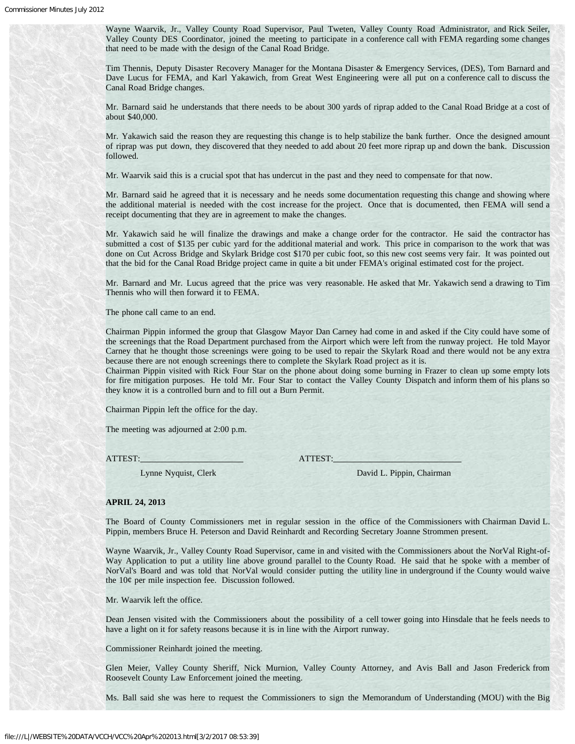Wayne Waarvik, Jr., Valley County Road Supervisor, Paul Tweten, Valley County Road Administrator, and Rick Seiler, Valley County DES Coordinator, joined the meeting to participate in a conference call with FEMA regarding some changes that need to be made with the design of the Canal Road Bridge.

Tim Thennis, Deputy Disaster Recovery Manager for the Montana Disaster & Emergency Services, (DES), Tom Barnard and Dave Lucus for FEMA, and Karl Yakawich, from Great West Engineering were all put on a conference call to discuss the Canal Road Bridge changes.

Mr. Barnard said he understands that there needs to be about 300 yards of riprap added to the Canal Road Bridge at a cost of about \$40,000.

Mr. Yakawich said the reason they are requesting this change is to help stabilize the bank further. Once the designed amount of riprap was put down, they discovered that they needed to add about 20 feet more riprap up and down the bank. Discussion followed.

Mr. Waarvik said this is a crucial spot that has undercut in the past and they need to compensate for that now.

Mr. Barnard said he agreed that it is necessary and he needs some documentation requesting this change and showing where the additional material is needed with the cost increase for the project. Once that is documented, then FEMA will send a receipt documenting that they are in agreement to make the changes.

Mr. Yakawich said he will finalize the drawings and make a change order for the contractor. He said the contractor has submitted a cost of \$135 per cubic yard for the additional material and work. This price in comparison to the work that was done on Cut Across Bridge and Skylark Bridge cost \$170 per cubic foot, so this new cost seems very fair. It was pointed out that the bid for the Canal Road Bridge project came in quite a bit under FEMA's original estimated cost for the project.

Mr. Barnard and Mr. Lucus agreed that the price was very reasonable. He asked that Mr. Yakawich send a drawing to Tim Thennis who will then forward it to FEMA.

The phone call came to an end.

Chairman Pippin informed the group that Glasgow Mayor Dan Carney had come in and asked if the City could have some of the screenings that the Road Department purchased from the Airport which were left from the runway project. He told Mayor Carney that he thought those screenings were going to be used to repair the Skylark Road and there would not be any extra because there are not enough screenings there to complete the Skylark Road project as it is.

Chairman Pippin visited with Rick Four Star on the phone about doing some burning in Frazer to clean up some empty lots for fire mitigation purposes. He told Mr. Four Star to contact the Valley County Dispatch and inform them of his plans so they know it is a controlled burn and to fill out a Burn Permit.

Chairman Pippin left the office for the day.

The meeting was adjourned at 2:00 p.m.

ATTEST: ATTEST:

Lynne Nyquist, Clerk David L. Pippin, Chairman

#### **APRIL 24, 2013**

The Board of County Commissioners met in regular session in the office of the Commissioners with Chairman David L. Pippin, members Bruce H. Peterson and David Reinhardt and Recording Secretary Joanne Strommen present.

Wayne Waarvik, Jr., Valley County Road Supervisor, came in and visited with the Commissioners about the NorVal Right-of-Way Application to put a utility line above ground parallel to the County Road. He said that he spoke with a member of NorVal's Board and was told that NorVal would consider putting the utility line in underground if the County would waive the  $10¢$  per mile inspection fee. Discussion followed.

Mr. Waarvik left the office.

Dean Jensen visited with the Commissioners about the possibility of a cell tower going into Hinsdale that he feels needs to have a light on it for safety reasons because it is in line with the Airport runway.

Commissioner Reinhardt joined the meeting.

Glen Meier, Valley County Sheriff, Nick Murnion, Valley County Attorney, and Avis Ball and Jason Frederick from Roosevelt County Law Enforcement joined the meeting.

Ms. Ball said she was here to request the Commissioners to sign the Memorandum of Understanding (MOU) with the Big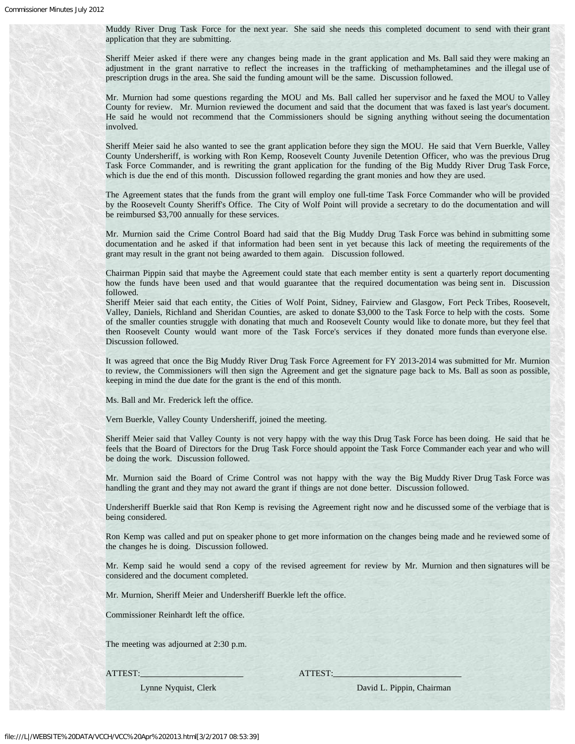Muddy River Drug Task Force for the next year. She said she needs this completed document to send with their grant application that they are submitting.

Sheriff Meier asked if there were any changes being made in the grant application and Ms. Ball said they were making an adjustment in the grant narrative to reflect the increases in the trafficking of methamphetamines and the illegal use of prescription drugs in the area. She said the funding amount will be the same. Discussion followed.

Mr. Murnion had some questions regarding the MOU and Ms. Ball called her supervisor and he faxed the MOU to Valley County for review. Mr. Murnion reviewed the document and said that the document that was faxed is last year's document. He said he would not recommend that the Commissioners should be signing anything without seeing the documentation involved.

Sheriff Meier said he also wanted to see the grant application before they sign the MOU. He said that Vern Buerkle, Valley County Undersheriff, is working with Ron Kemp, Roosevelt County Juvenile Detention Officer, who was the previous Drug Task Force Commander, and is rewriting the grant application for the funding of the Big Muddy River Drug Task Force, which is due the end of this month. Discussion followed regarding the grant monies and how they are used.

The Agreement states that the funds from the grant will employ one full-time Task Force Commander who will be provided by the Roosevelt County Sheriff's Office. The City of Wolf Point will provide a secretary to do the documentation and will be reimbursed \$3,700 annually for these services.

Mr. Murnion said the Crime Control Board had said that the Big Muddy Drug Task Force was behind in submitting some documentation and he asked if that information had been sent in yet because this lack of meeting the requirements of the grant may result in the grant not being awarded to them again. Discussion followed.

Chairman Pippin said that maybe the Agreement could state that each member entity is sent a quarterly report documenting how the funds have been used and that would guarantee that the required documentation was being sent in. Discussion followed.

Sheriff Meier said that each entity, the Cities of Wolf Point, Sidney, Fairview and Glasgow, Fort Peck Tribes, Roosevelt, Valley, Daniels, Richland and Sheridan Counties, are asked to donate \$3,000 to the Task Force to help with the costs. Some of the smaller counties struggle with donating that much and Roosevelt County would like to donate more, but they feel that then Roosevelt County would want more of the Task Force's services if they donated more funds than everyone else. Discussion followed.

It was agreed that once the Big Muddy River Drug Task Force Agreement for FY 2013-2014 was submitted for Mr. Murnion to review, the Commissioners will then sign the Agreement and get the signature page back to Ms. Ball as soon as possible, keeping in mind the due date for the grant is the end of this month.

Ms. Ball and Mr. Frederick left the office.

Vern Buerkle, Valley County Undersheriff, joined the meeting.

Sheriff Meier said that Valley County is not very happy with the way this Drug Task Force has been doing. He said that he feels that the Board of Directors for the Drug Task Force should appoint the Task Force Commander each year and who will be doing the work. Discussion followed.

Mr. Murnion said the Board of Crime Control was not happy with the way the Big Muddy River Drug Task Force was handling the grant and they may not award the grant if things are not done better. Discussion followed.

Undersheriff Buerkle said that Ron Kemp is revising the Agreement right now and he discussed some of the verbiage that is being considered.

Ron Kemp was called and put on speaker phone to get more information on the changes being made and he reviewed some of the changes he is doing. Discussion followed.

Mr. Kemp said he would send a copy of the revised agreement for review by Mr. Murnion and then signatures will be considered and the document completed.

Mr. Murnion, Sheriff Meier and Undersheriff Buerkle left the office.

Commissioner Reinhardt left the office.

The meeting was adjourned at 2:30 p.m.

ATTEST: ATTEST:

Lynne Nyquist, Clerk David L. Pippin, Chairman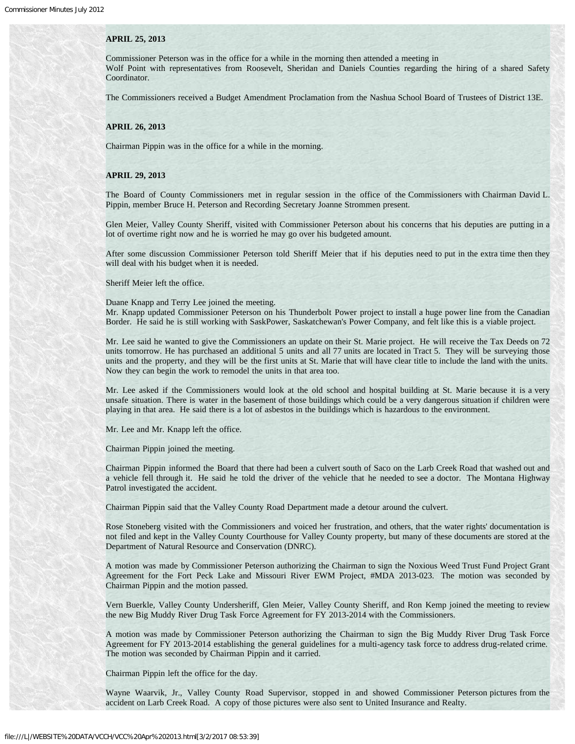#### **APRIL 25, 2013**

Commissioner Peterson was in the office for a while in the morning then attended a meeting in Wolf Point with representatives from Roosevelt, Sheridan and Daniels Counties regarding the hiring of a shared Safety Coordinator.

The Commissioners received a Budget Amendment Proclamation from the Nashua School Board of Trustees of District 13E.

#### **APRIL 26, 2013**

Chairman Pippin was in the office for a while in the morning.

### **APRIL 29, 2013**

The Board of County Commissioners met in regular session in the office of the Commissioners with Chairman David L. Pippin, member Bruce H. Peterson and Recording Secretary Joanne Strommen present.

Glen Meier, Valley County Sheriff, visited with Commissioner Peterson about his concerns that his deputies are putting in a lot of overtime right now and he is worried he may go over his budgeted amount.

After some discussion Commissioner Peterson told Sheriff Meier that if his deputies need to put in the extra time then they will deal with his budget when it is needed.

Sheriff Meier left the office.

Duane Knapp and Terry Lee joined the meeting.

Mr. Knapp updated Commissioner Peterson on his Thunderbolt Power project to install a huge power line from the Canadian Border. He said he is still working with SaskPower, Saskatchewan's Power Company, and felt like this is a viable project.

Mr. Lee said he wanted to give the Commissioners an update on their St. Marie project. He will receive the Tax Deeds on 72 units tomorrow. He has purchased an additional 5 units and all 77 units are located in Tract 5. They will be surveying those units and the property, and they will be the first units at St. Marie that will have clear title to include the land with the units. Now they can begin the work to remodel the units in that area too.

Mr. Lee asked if the Commissioners would look at the old school and hospital building at St. Marie because it is a very unsafe situation. There is water in the basement of those buildings which could be a very dangerous situation if children were playing in that area. He said there is a lot of asbestos in the buildings which is hazardous to the environment.

Mr. Lee and Mr. Knapp left the office.

Chairman Pippin joined the meeting.

Chairman Pippin informed the Board that there had been a culvert south of Saco on the Larb Creek Road that washed out and a vehicle fell through it. He said he told the driver of the vehicle that he needed to see a doctor. The Montana Highway Patrol investigated the accident.

Chairman Pippin said that the Valley County Road Department made a detour around the culvert.

Rose Stoneberg visited with the Commissioners and voiced her frustration, and others, that the water rights' documentation is not filed and kept in the Valley County Courthouse for Valley County property, but many of these documents are stored at the Department of Natural Resource and Conservation (DNRC).

A motion was made by Commissioner Peterson authorizing the Chairman to sign the Noxious Weed Trust Fund Project Grant Agreement for the Fort Peck Lake and Missouri River EWM Project, #MDA 2013-023. The motion was seconded by Chairman Pippin and the motion passed.

Vern Buerkle, Valley County Undersheriff, Glen Meier, Valley County Sheriff, and Ron Kemp joined the meeting to review the new Big Muddy River Drug Task Force Agreement for FY 2013-2014 with the Commissioners.

A motion was made by Commissioner Peterson authorizing the Chairman to sign the Big Muddy River Drug Task Force Agreement for FY 2013-2014 establishing the general guidelines for a multi-agency task force to address drug-related crime. The motion was seconded by Chairman Pippin and it carried.

Chairman Pippin left the office for the day.

Wayne Waarvik, Jr., Valley County Road Supervisor, stopped in and showed Commissioner Peterson pictures from the accident on Larb Creek Road. A copy of those pictures were also sent to United Insurance and Realty.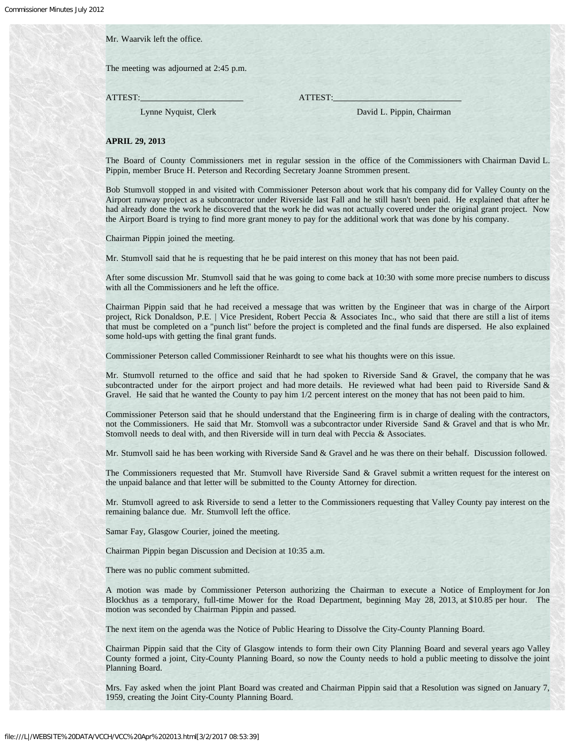Mr. Waarvik left the office.

The meeting was adjourned at 2:45 p.m.

ATTEST: ATTEST:

Lynne Nyquist, Clerk David L. Pippin, Chairman

#### **APRIL 29, 2013**

The Board of County Commissioners met in regular session in the office of the Commissioners with Chairman David L. Pippin, member Bruce H. Peterson and Recording Secretary Joanne Strommen present.

Bob Stumvoll stopped in and visited with Commissioner Peterson about work that his company did for Valley County on the Airport runway project as a subcontractor under Riverside last Fall and he still hasn't been paid. He explained that after he had already done the work he discovered that the work he did was not actually covered under the original grant project. Now the Airport Board is trying to find more grant money to pay for the additional work that was done by his company.

Chairman Pippin joined the meeting.

Mr. Stumvoll said that he is requesting that he be paid interest on this money that has not been paid.

After some discussion Mr. Stumvoll said that he was going to come back at 10:30 with some more precise numbers to discuss with all the Commissioners and he left the office.

Chairman Pippin said that he had received a message that was written by the Engineer that was in charge of the Airport project, Rick Donaldson, P.E. | Vice President, Robert Peccia & Associates Inc., who said that there are still a list of items that must be completed on a "punch list" before the project is completed and the final funds are dispersed. He also explained some hold-ups with getting the final grant funds.

Commissioner Peterson called Commissioner Reinhardt to see what his thoughts were on this issue.

Mr. Stumvoll returned to the office and said that he had spoken to Riverside Sand & Gravel, the company that he was subcontracted under for the airport project and had more details. He reviewed what had been paid to Riverside Sand & Gravel. He said that he wanted the County to pay him 1/2 percent interest on the money that has not been paid to him.

Commissioner Peterson said that he should understand that the Engineering firm is in charge of dealing with the contractors, not the Commissioners. He said that Mr. Stomvoll was a subcontractor under Riverside Sand & Gravel and that is who Mr. Stomvoll needs to deal with, and then Riverside will in turn deal with Peccia & Associates.

Mr. Stumvoll said he has been working with Riverside Sand & Gravel and he was there on their behalf. Discussion followed.

The Commissioners requested that Mr. Stumvoll have Riverside Sand & Gravel submit a written request for the interest on the unpaid balance and that letter will be submitted to the County Attorney for direction.

Mr. Stumvoll agreed to ask Riverside to send a letter to the Commissioners requesting that Valley County pay interest on the remaining balance due. Mr. Stumvoll left the office.

Samar Fay, Glasgow Courier, joined the meeting.

Chairman Pippin began Discussion and Decision at 10:35 a.m.

There was no public comment submitted.

A motion was made by Commissioner Peterson authorizing the Chairman to execute a Notice of Employment for Jon Blockhus as a temporary, full-time Mower for the Road Department, beginning May 28, 2013, at \$10.85 per hour. The motion was seconded by Chairman Pippin and passed.

The next item on the agenda was the Notice of Public Hearing to Dissolve the City-County Planning Board.

Chairman Pippin said that the City of Glasgow intends to form their own City Planning Board and several years ago Valley County formed a joint, City-County Planning Board, so now the County needs to hold a public meeting to dissolve the joint Planning Board.

Mrs. Fay asked when the joint Plant Board was created and Chairman Pippin said that a Resolution was signed on January 7, 1959, creating the Joint City-County Planning Board.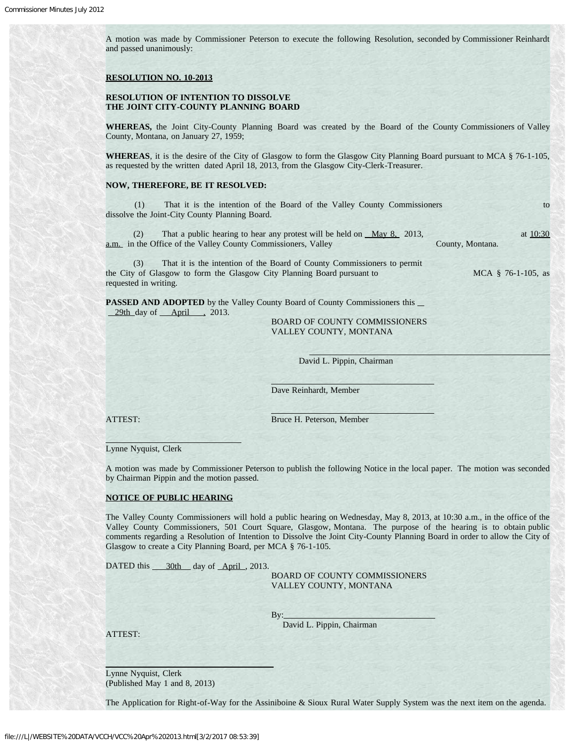A motion was made by Commissioner Peterson to execute the following Resolution, seconded by Commissioner Reinhardt and passed unanimously:

#### **RESOLUTION NO. 10-2013**

# **RESOLUTION OF INTENTION TO DISSOLVE THE JOINT CITY-COUNTY PLANNING BOARD**

**WHEREAS,** the Joint City-County Planning Board was created by the Board of the County Commissioners of Valley County, Montana, on January 27, 1959;

WHEREAS, it is the desire of the City of Glasgow to form the Glasgow City Planning Board pursuant to MCA § 76-1-105, as requested by the written dated April 18, 2013, from the Glasgow City-Clerk-Treasurer.

### **NOW, THEREFORE, BE IT RESOLVED:**

(1) That it is the intention of the Board of the Valley County Commissioners to dissolve the Joint-City County Planning Board.

(2) That a public hearing to hear any protest will be held on  $\frac{May\ 8}{2013}$ , at  $\frac{10:30}{2013}$ a.m. in the Office of the Valley County Commissioners, Valley County, Montana.

 (3) That it is the intention of the Board of County Commissioners to permit the City of Glasgow to form the Glasgow City Planning Board pursuant to MCA § 76-1-105, as requested in writing.

**PASSED AND ADOPTED** by the Valley County Board of County Commissioners this  $\blacksquare$  $29th$  day of  $\overline{\text{April}}$ , 2013.

į

 BOARD OF COUNTY COMMISSIONERS VALLEY COUNTY, MONTANA

David L. Pippin, Chairman

Dave Reinhardt, Member

 $\overline{\phantom{a}}$ 

ATTEST: Bruce H. Peterson, Member

Lynne Nyquist, Clerk

A motion was made by Commissioner Peterson to publish the following Notice in the local paper. The motion was seconded by Chairman Pippin and the motion passed.

#### **NOTICE OF PUBLIC HEARING**

The Valley County Commissioners will hold a public hearing on Wednesday, May 8, 2013, at 10:30 a.m., in the office of the Valley County Commissioners, 501 Court Square, Glasgow, Montana. The purpose of the hearing is to obtain public comments regarding a Resolution of Intention to Dissolve the Joint City-County Planning Board in order to allow the City of Glasgow to create a City Planning Board, per MCA § 76-1-105.

DATED this 30th day of April , 2013.

 BOARD OF COUNTY COMMISSIONERS VALLEY COUNTY, MONTANA

By: David L. Pippin, Chairman

ATTEST:

 $\overline{\phantom{a}}$ 

Lynne Nyquist, Clerk (Published May 1 and 8, 2013)

The Application for Right-of-Way for the Assiniboine & Sioux Rural Water Supply System was the next item on the agenda.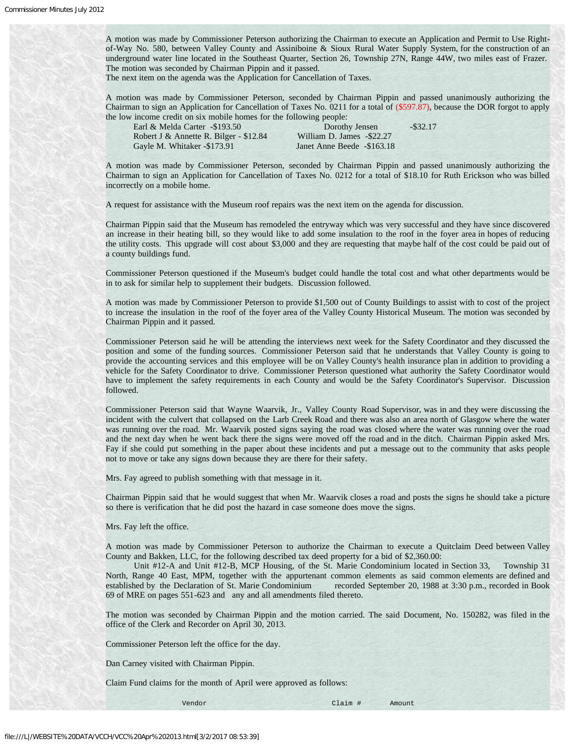A motion was made by Commissioner Peterson authorizing the Chairman to execute an Application and Permit to Use Rightof-Way No. 580, between Valley County and Assiniboine & Sioux Rural Water Supply System, for the construction of an underground water line located in the Southeast Quarter, Section 26, Township 27N, Range 44W, two miles east of Frazer. The motion was seconded by Chairman Pippin and it passed.

The next item on the agenda was the Application for Cancellation of Taxes.

A motion was made by Commissioner Peterson, seconded by Chairman Pippin and passed unanimously authorizing the Chairman to sign an Application for Cancellation of Taxes No. 0211 for a total of (\$597.87), because the DOR forgot to apply the low income credit on six mobile homes for the following people:

| Earl & Melda Carter $-193.50$          | Dorothy Jensen              | $-$ \$32.17 |
|----------------------------------------|-----------------------------|-------------|
| Robert J & Annette R. Bilger - \$12.84 | William D. James - \$22.27  |             |
| Gayle M. Whitaker -\$173.91            | Janet Anne Beede - \$163.18 |             |

A motion was made by Commissioner Peterson, seconded by Chairman Pippin and passed unanimously authorizing the Chairman to sign an Application for Cancellation of Taxes No. 0212 for a total of \$18.10 for Ruth Erickson who was billed incorrectly on a mobile home.

A request for assistance with the Museum roof repairs was the next item on the agenda for discussion.

Chairman Pippin said that the Museum has remodeled the entryway which was very successful and they have since discovered an increase in their heating bill, so they would like to add some insulation to the roof in the foyer area in hopes of reducing the utility costs. This upgrade will cost about \$3,000 and they are requesting that maybe half of the cost could be paid out of a county buildings fund.

Commissioner Peterson questioned if the Museum's budget could handle the total cost and what other departments would be in to ask for similar help to supplement their budgets. Discussion followed.

A motion was made by Commissioner Peterson to provide \$1,500 out of County Buildings to assist with to cost of the project to increase the insulation in the roof of the foyer area of the Valley County Historical Museum. The motion was seconded by Chairman Pippin and it passed.

Commissioner Peterson said he will be attending the interviews next week for the Safety Coordinator and they discussed the position and some of the funding sources. Commissioner Peterson said that he understands that Valley County is going to provide the accounting services and this employee will be on Valley County's health insurance plan in addition to providing a vehicle for the Safety Coordinator to drive. Commissioner Peterson questioned what authority the Safety Coordinator would have to implement the safety requirements in each County and would be the Safety Coordinator's Supervisor. Discussion followed.

Commissioner Peterson said that Wayne Waarvik, Jr., Valley County Road Supervisor, was in and they were discussing the incident with the culvert that collapsed on the Larb Creek Road and there was also an area north of Glasgow where the water was running over the road. Mr. Waarvik posted signs saying the road was closed where the water was running over the road and the next day when he went back there the signs were moved off the road and in the ditch. Chairman Pippin asked Mrs. Fay if she could put something in the paper about these incidents and put a message out to the community that asks people not to move or take any signs down because they are there for their safety.

Mrs. Fay agreed to publish something with that message in it.

Chairman Pippin said that he would suggest that when Mr. Waarvik closes a road and posts the signs he should take a picture so there is verification that he did post the hazard in case someone does move the signs.

Mrs. Fay left the office.

A motion was made by Commissioner Peterson to authorize the Chairman to execute a Quitclaim Deed between Valley County and Bakken, LLC, for the following described tax deed property for a bid of \$2,360.00:

 Unit #12-A and Unit #12-B, MCP Housing, of the St. Marie Condominium located in Section 33, Township 31 North, Range 40 East, MPM, together with the appurtenant common elements as said common elements are defined and established by the Declaration of St. Marie Condominium recorded September 20, 1988 at 3:30 p.m., recorded in Book 69 of MRE on pages 551-623 and any and all amendments filed thereto.

The motion was seconded by Chairman Pippin and the motion carried. The said Document, No. 150282, was filed in the office of the Clerk and Recorder on April 30, 2013.

Commissioner Peterson left the office for the day.

Dan Carney visited with Chairman Pippin.

Claim Fund claims for the month of April were approved as follows:

Vendor Claim # Amount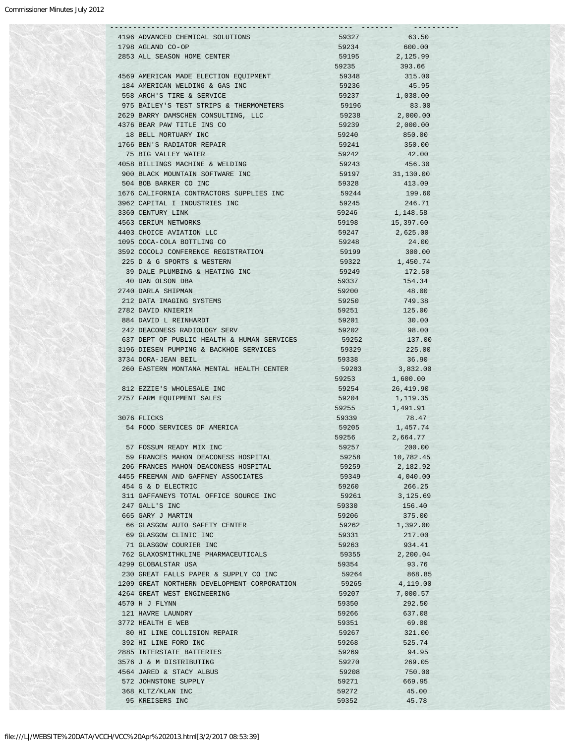|                                                             |                                                  | -------        |                    |  |
|-------------------------------------------------------------|--------------------------------------------------|----------------|--------------------|--|
|                                                             | 4196 ADVANCED CHEMICAL SOLUTIONS                 | 59327          | 63.50              |  |
| 1798 AGLAND CO-OP                                           |                                                  | 59234          | 600.00             |  |
|                                                             | 2853 ALL SEASON HOME CENTER                      | 59195          | 2,125.99           |  |
|                                                             |                                                  | 59235          | 393.66             |  |
|                                                             | 4569 AMERICAN MADE ELECTION EOUIPMENT            | 59348          | 315.00             |  |
|                                                             | 184 AMERICAN WELDING & GAS INC                   | 59236          | 45.95              |  |
|                                                             | 558 ARCH'S TIRE & SERVICE                        |                | 59237 1,038.00     |  |
|                                                             | 975 BAILEY'S TEST STRIPS & THERMOMETERS          | 59196          | 83.00              |  |
|                                                             | 2629 BARRY DAMSCHEN CONSULTING, LLC              | 59238          | 2,000.00           |  |
|                                                             | 4376 BEAR PAW TITLE INS CO                       | 59239          | 2,000.00           |  |
|                                                             | 18 BELL MORTUARY INC                             | 59240          | 850.00             |  |
|                                                             | 1766 BEN'S RADIATOR REPAIR                       | 59241          | 350.00             |  |
|                                                             | 75 BIG VALLEY WATER                              | 59242          | 42.00              |  |
|                                                             | 4058 BILLINGS MACHINE & WELDING                  | 59243          | 456.30             |  |
|                                                             | 900 BLACK MOUNTAIN SOFTWARE INC                  |                | 59197 31,130.00    |  |
|                                                             | 504 BOB BARKER CO INC                            | 59328          | 413.09             |  |
|                                                             | 1676 CALIFORNIA CONTRACTORS SUPPLIES INC         | 59244          | 199.60             |  |
|                                                             | 3962 CAPITAL I INDUSTRIES INC                    | 59245          | 246.71             |  |
| 3360 CENTURY LINK                                           |                                                  | 59246          | 1,148.58           |  |
|                                                             | 4563 CERIUM NETWORKS<br>4403 CHOICE AVIATION LLC | 59198<br>59247 | 15,397.60          |  |
|                                                             | 1095 COCA-COLA BOTTLING CO                       | 59248          | 2,625.00           |  |
|                                                             | 3592 COCOLJ CONFERENCE REGISTRATION              | 59199          | 24.00<br>300.00    |  |
|                                                             | 225 D & G SPORTS & WESTERN                       | 59322          | 1,450.74           |  |
|                                                             | 39 DALE PLUMBING & HEATING INC                   | 59249          | 172.50             |  |
| 40 DAN OLSON DBA                                            |                                                  | 59337          | 154.34             |  |
| 2740 DARLA SHIPMAN                                          |                                                  | 59200          | 48.00              |  |
|                                                             | 212 DATA IMAGING SYSTEMS                         | 59250          | 749.38             |  |
| 2782 DAVID KNIERIM                                          |                                                  | 59251          | 125.00             |  |
|                                                             | 884 DAVID L REINHARDT                            | 59201          | 30.00              |  |
|                                                             | 242 DEACONESS RADIOLOGY SERV                     | 59202          | 98.00              |  |
|                                                             | 637 DEPT OF PUBLIC HEALTH & HUMAN SERVICES       | 59252          | 137.00             |  |
|                                                             | 3196 DIESEN PUMPING & BACKHOE SERVICES           | 59329          | 225.00             |  |
| 3734 DORA-JEAN BEIL                                         |                                                  | 59338          | 36.90              |  |
|                                                             | 260 EASTERN MONTANA MENTAL HEALTH CENTER         | 59203          | 3,832.00           |  |
|                                                             |                                                  |                | 59253 1,600.00     |  |
|                                                             | 812 EZZIE'S WHOLESALE INC                        |                | 59254<br>26,419.90 |  |
|                                                             | 2757 FARM EQUIPMENT SALES                        | 59204          | 1,119.35           |  |
|                                                             |                                                  | 59255          | 1,491.91           |  |
| 3076 FLICKS                                                 |                                                  | 59339          | 78.47              |  |
|                                                             | 54 FOOD SERVICES OF AMERICA                      | 59205          | 1,457.74           |  |
|                                                             |                                                  | 59256          | 2,664.77           |  |
|                                                             | 57 FOSSUM READY MIX INC                          | 59257          | 200.00             |  |
|                                                             | 59 FRANCES MAHON DEACONESS HOSPITAL              | 59258          | 10,782.45          |  |
|                                                             | 206 FRANCES MAHON DEACONESS HOSPITAL             | 59259          | 2,182.92           |  |
|                                                             | 4455 FREEMAN AND GAFFNEY ASSOCIATES              | 59349          | 4,040.00           |  |
|                                                             | 454 G & D ELECTRIC                               | 59260          | 266.25             |  |
|                                                             | 311 GAFFANEYS TOTAL OFFICE SOURCE INC            | 59261          | 3,125.69           |  |
| 247 GALL'S INC                                              |                                                  | 59330          | 156.40             |  |
| 665 GARY J MARTIN                                           |                                                  | 59206          | 375.00             |  |
|                                                             | 66 GLASGOW AUTO SAFETY CENTER                    | 59262          | 1,392.00           |  |
|                                                             | 69 GLASGOW CLINIC INC                            | 59331          | 217.00             |  |
|                                                             | 71 GLASGOW COURIER INC                           | 59263          | 934.41             |  |
|                                                             | 762 GLAXOSMITHKLINE PHARMACEUTICALS              | 59355          | 2,200.04           |  |
| 4299 GLOBALSTAR USA                                         |                                                  | 59354          | 93.76              |  |
|                                                             | 230 GREAT FALLS PAPER & SUPPLY CO INC            | 59264          | 868.85             |  |
|                                                             | 1209 GREAT NORTHERN DEVELOPMENT CORPORATION      | 59265          | 4,119.00           |  |
| 4570 H J FLYNN                                              | 4264 GREAT WEST ENGINEERING                      | 59207          | 7,000.57           |  |
|                                                             |                                                  | 59350          | 292.50             |  |
|                                                             |                                                  | 59266          | 637.08<br>69.00    |  |
|                                                             |                                                  |                |                    |  |
|                                                             |                                                  | 59351          |                    |  |
|                                                             | 80 HI LINE COLLISION REPAIR                      | 59267          | 321.00             |  |
|                                                             | 392 HI LINE FORD INC                             | 59268          | 525.74             |  |
|                                                             | 2885 INTERSTATE BATTERIES                        | 59269          | 94.95              |  |
|                                                             | 3576 J & M DISTRIBUTING                          | 59270          | 269.05             |  |
|                                                             | 4564 JARED & STACY ALBUS                         | 59208          | 750.00             |  |
| 121 HAVRE LAUNDRY<br>3772 HEALTH E WEB<br>368 KLTZ/KLAN INC | 572 JOHNSTONE SUPPLY                             | 59271<br>59272 | 669.95<br>45.00    |  |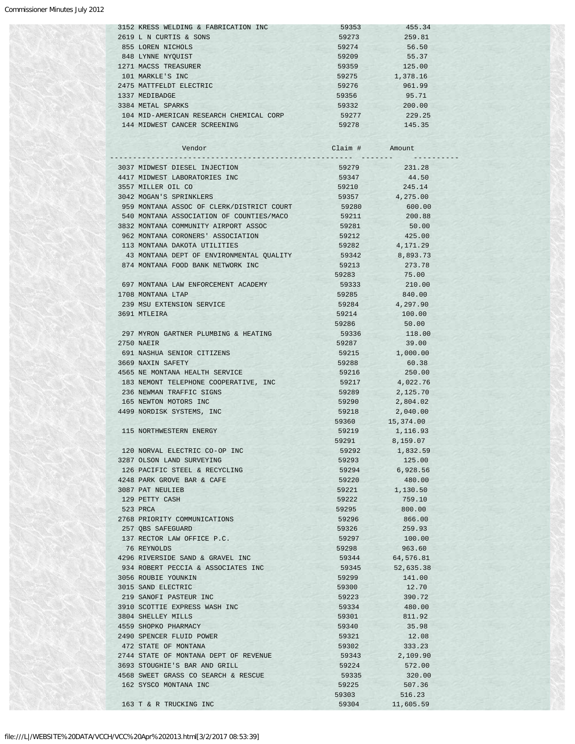# Commissioner Minutes July 2012

|  | 3152 KRESS WELDING & FABRICATION INC    | 59353 | 455.34   |
|--|-----------------------------------------|-------|----------|
|  | 2619 L N CURTIS & SONS                  | 59273 | 259.81   |
|  | 855 LOREN NICHOLS                       | 59274 | 56.50    |
|  | 848 LYNNE NYOUIST                       | 59209 | 55.37    |
|  | 1271 MACSS TREASURER                    | 59359 | 125.00   |
|  | 101 MARKLE'S INC                        | 59275 | 1,378.16 |
|  | 2475 MATTFELDT ELECTRIC                 | 59276 | 961.99   |
|  | 1337 MEDIBADGE                          | 59356 | 95.71    |
|  | 3384 METAL SPARKS                       | 59332 | 200.00   |
|  | 104 MID-AMERICAN RESEARCH CHEMICAL CORP | 59277 | 229.25   |
|  | 144 MIDWEST CANCER SCREENING            | 59278 | 145.35   |
|  |                                         |       |          |

| Vendor                                    | Claim # | Amount     |
|-------------------------------------------|---------|------------|
|                                           |         |            |
| 3037 MIDWEST DIESEL INJECTION             | 59279   | 231.28     |
| 4417 MIDWEST LABORATORIES INC             | 59347   | 44.50      |
| 3557 MILLER OIL CO                        | 59210   | 245.14     |
| 3042 MOGAN'S SPRINKLERS                   | 59357   | 4,275.00   |
| 959 MONTANA ASSOC OF CLERK/DISTRICT COURT | 59280   | 600.00     |
| 540 MONTANA ASSOCIATION OF COUNTIES/MACO  | 59211   | 200.88     |
| 3832 MONTANA COMMUNITY AIRPORT ASSOC      | 59281   | 50.00      |
| 962 MONTANA CORONERS' ASSOCIATION         | 59212   | 425.00     |
| 113 MONTANA DAKOTA UTILITIES              | 59282   | 4, 171, 29 |
| 43 MONTANA DEPT OF ENVIRONMENTAL QUALITY  | 59342   | 8,893.73   |
| 874 MONTANA FOOD BANK NETWORK INC         | 59213   | 273.78     |
|                                           | 59283   | 75.00      |
| 697 MONTANA LAW ENFORCEMENT ACADEMY       | 59333   | 210.00     |
| 1708 MONTANA LTAP                         | 59285   | 840.00     |
| 239 MSU EXTENSION SERVICE                 | 59284   | 4,297.90   |
| 3691 MTLEIRA                              | 59214   | 100.00     |
|                                           | 59286   | 50.00      |
| 297 MYRON GARTNER PLUMBING & HEATING      | 59336   | 118.00     |
| 2750 NAEIR                                | 59287   | 39.00      |
|                                           |         |            |
| 691 NASHUA SENIOR CITIZENS                | 59215   | 1,000.00   |
| 3669 NAXIN SAFETY                         | 59288   | 60.38      |
| 4565 NE MONTANA HEALTH SERVICE            | 59216   | 250.00     |
| 183 NEMONT TELEPHONE COOPERATIVE, INC     | 59217   | 4,022.76   |
| 236 NEWMAN TRAFFIC SIGNS                  | 59289   | 2,125.70   |
| 165 NEWTON MOTORS INC                     | 59290   | 2,804.02   |
| 4499 NORDISK SYSTEMS, INC                 | 59218   | 2,040.00   |
|                                           | 59360   | 15,374.00  |
| 115 NORTHWESTERN ENERGY                   | 59219   | 1,116.93   |
|                                           | 59291   | 8,159.07   |
| 120 NORVAL ELECTRIC CO-OP INC             | 59292   | 1,832.59   |
| 3287 OLSON LAND SURVEYING                 | 59293   | 125.00     |
| 126 PACIFIC STEEL & RECYCLING             | 59294   | 6,928.56   |
| 4248 PARK GROVE BAR & CAFE                | 59220   | 480.00     |
| 3087 PAT NEULIEB                          | 59221   | 1,130.50   |
| 129 PETTY CASH                            | 59222   | 759.10     |
| 523 PRCA                                  | 59295   | 800.00     |
| 2768 PRIORITY COMMUNICATIONS              | 59296   | 866.00     |
| 257 QBS SAFEGUARD                         | 59326   | 259.93     |
| 137 RECTOR LAW OFFICE P.C.                | 59297   | 100.00     |
| 76 REYNOLDS                               | 59298   | 963.60     |
| 4296 RIVERSIDE SAND & GRAVEL INC          | 59344   | 64,576.81  |
| 934 ROBERT PECCIA & ASSOCIATES INC        | 59345   | 52,635.38  |
| 3056 ROUBIE YOUNKIN                       | 59299   | 141.00     |
| 3015 SAND ELECTRIC                        | 59300   | 12.70      |
| 219 SANOFI PASTEUR INC                    | 59223   | 390.72     |
| 3910 SCOTTIE EXPRESS WASH INC             | 59334   | 480.00     |
| 3804 SHELLEY MILLS                        | 59301   | 811.92     |
| 4559 SHOPKO PHARMACY                      | 59340   | 35.98      |
| 2490 SPENCER FLUID POWER                  |         |            |
|                                           | 59321   | 12.08      |
| 472 STATE OF MONTANA                      | 59302   | 333.23     |
| 2744 STATE OF MONTANA DEPT OF REVENUE     | 59343   | 2,109.90   |
| 3693 STOUGHIE'S BAR AND GRILL             | 59224   | 572.00     |
| 4568 SWEET GRASS CO SEARCH & RESCUE       | 59335   | 320.00     |
| 162 SYSCO MONTANA INC                     | 59225   | 507.36     |
|                                           | 59303   | 516.23     |
| 163 T & R TRUCKING INC                    | 59304   | 11,605.59  |